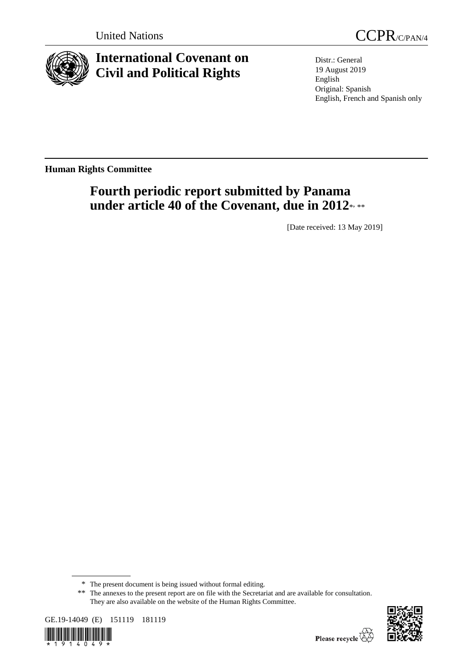

# **International Covenant on Civil and Political Rights**



Distr.: General 19 August 2019 English Original: Spanish English, French and Spanish only

**Human Rights Committee**

# **Fourth periodic report submitted by Panama**  under article 40 of the Covenant, due in 2012\*<sub>\*\*\*</sub>

[Date received: 13 May 2019]

<sup>\*\*</sup> The annexes to the present report are on file with the Secretariat and are available for consultation. They are also available on the website of the Human Rights Committee.





<sup>\*</sup> The present document is being issued without formal editing.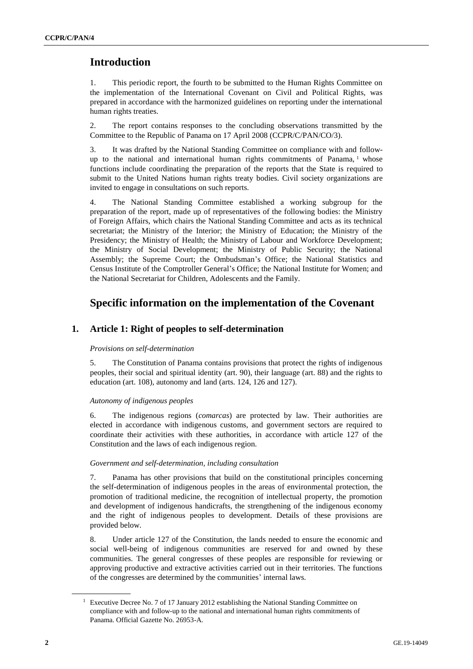## **Introduction**

1. This periodic report, the fourth to be submitted to the Human Rights Committee on the implementation of the International Covenant on Civil and Political Rights, was prepared in accordance with the harmonized guidelines on reporting under the international human rights treaties.

2. The report contains responses to the concluding observations transmitted by the Committee to the Republic of Panama on 17 April 2008 (CCPR/C/PAN/CO/3).

3. It was drafted by the National Standing Committee on compliance with and followup to the national and international human rights commitments of Panama, <sup>1</sup> whose functions include coordinating the preparation of the reports that the State is required to submit to the United Nations human rights treaty bodies. Civil society organizations are invited to engage in consultations on such reports.

4. The National Standing Committee established a working subgroup for the preparation of the report, made up of representatives of the following bodies: the Ministry of Foreign Affairs, which chairs the National Standing Committee and acts as its technical secretariat; the Ministry of the Interior; the Ministry of Education; the Ministry of the Presidency; the Ministry of Health; the Ministry of Labour and Workforce Development; the Ministry of Social Development; the Ministry of Public Security; the National Assembly; the Supreme Court; the Ombudsman's Office; the National Statistics and Census Institute of the Comptroller General's Office; the National Institute for Women; and the National Secretariat for Children, Adolescents and the Family.

## **Specific information on the implementation of the Covenant**

## **1. Article 1: Right of peoples to self-determination**

#### *Provisions on self-determination*

5. The Constitution of Panama contains provisions that protect the rights of indigenous peoples, their social and spiritual identity (art. 90), their language (art. 88) and the rights to education (art. 108), autonomy and land (arts. 124, 126 and 127).

#### *Autonomy of indigenous peoples*

6. The indigenous regions (*comarcas*) are protected by law. Their authorities are elected in accordance with indigenous customs, and government sectors are required to coordinate their activities with these authorities, in accordance with article 127 of the Constitution and the laws of each indigenous region.

#### *Government and self-determination, including consultation*

7. Panama has other provisions that build on the constitutional principles concerning the self-determination of indigenous peoples in the areas of environmental protection, the promotion of traditional medicine, the recognition of intellectual property, the promotion and development of indigenous handicrafts, the strengthening of the indigenous economy and the right of indigenous peoples to development. Details of these provisions are provided below.

8. Under article 127 of the Constitution, the lands needed to ensure the economic and social well-being of indigenous communities are reserved for and owned by these communities. The general congresses of these peoples are responsible for reviewing or approving productive and extractive activities carried out in their territories. The functions of the congresses are determined by the communities' internal laws.

<sup>&</sup>lt;sup>1</sup> Executive Decree No. 7 of 17 January 2012 establishing the National Standing Committee on compliance with and follow-up to the national and international human rights commitments of Panama. Official Gazette No. 26953-A.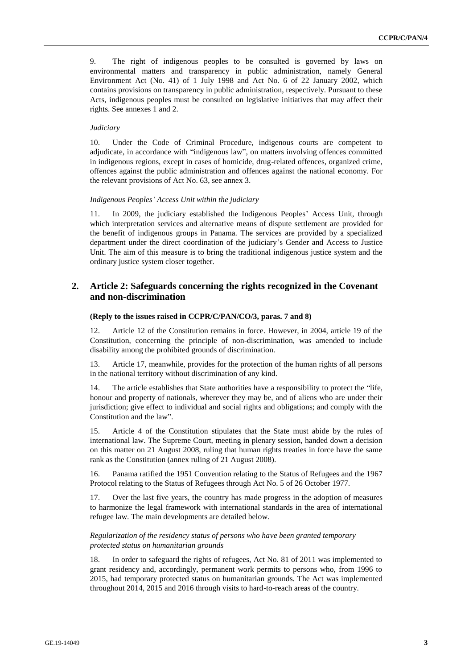9. The right of indigenous peoples to be consulted is governed by laws on environmental matters and transparency in public administration, namely General Environment Act (No. 41) of 1 July 1998 and Act No. 6 of 22 January 2002, which contains provisions on transparency in public administration, respectively. Pursuant to these Acts, indigenous peoples must be consulted on legislative initiatives that may affect their rights. See annexes 1 and 2.

#### *Judiciary*

10. Under the Code of Criminal Procedure, indigenous courts are competent to adjudicate, in accordance with "indigenous law", on matters involving offences committed in indigenous regions, except in cases of homicide, drug-related offences, organized crime, offences against the public administration and offences against the national economy. For the relevant provisions of Act No. 63, see annex 3.

#### *Indigenous Peoples' Access Unit within the judiciary*

11. In 2009, the judiciary established the Indigenous Peoples' Access Unit, through which interpretation services and alternative means of dispute settlement are provided for the benefit of indigenous groups in Panama. The services are provided by a specialized department under the direct coordination of the judiciary's Gender and Access to Justice Unit. The aim of this measure is to bring the traditional indigenous justice system and the ordinary justice system closer together.

## **2. Article 2: Safeguards concerning the rights recognized in the Covenant and non-discrimination**

#### **(Reply to the issues raised in CCPR/C/PAN/CO/3, paras. 7 and 8)**

12. Article 12 of the Constitution remains in force. However, in 2004, article 19 of the Constitution, concerning the principle of non-discrimination, was amended to include disability among the prohibited grounds of discrimination.

13. Article 17, meanwhile, provides for the protection of the human rights of all persons in the national territory without discrimination of any kind.

14. The article establishes that State authorities have a responsibility to protect the "life, honour and property of nationals, wherever they may be, and of aliens who are under their jurisdiction; give effect to individual and social rights and obligations; and comply with the Constitution and the law".

15. Article 4 of the Constitution stipulates that the State must abide by the rules of international law. The Supreme Court, meeting in plenary session, handed down a decision on this matter on 21 August 2008, ruling that human rights treaties in force have the same rank as the Constitution (annex ruling of 21 August 2008).

16. Panama ratified the 1951 Convention relating to the Status of Refugees and the 1967 Protocol relating to the Status of Refugees through Act No. 5 of 26 October 1977.

17. Over the last five years, the country has made progress in the adoption of measures to harmonize the legal framework with international standards in the area of international refugee law. The main developments are detailed below.

#### *Regularization of the residency status of persons who have been granted temporary protected status on humanitarian grounds*

In order to safeguard the rights of refugees, Act No. 81 of 2011 was implemented to grant residency and, accordingly, permanent work permits to persons who, from 1996 to 2015, had temporary protected status on humanitarian grounds. The Act was implemented throughout 2014, 2015 and 2016 through visits to hard-to-reach areas of the country.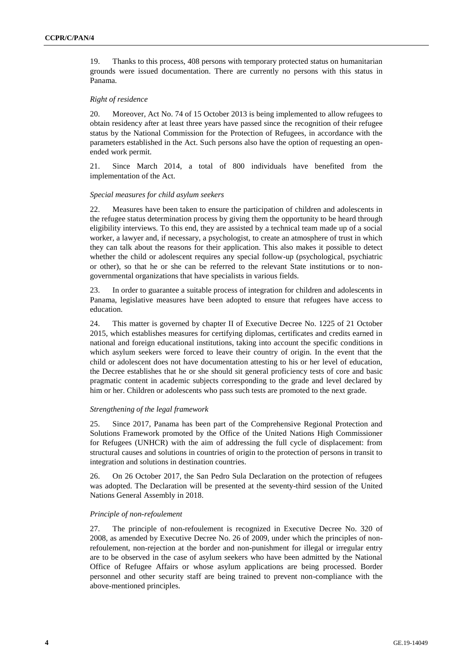19. Thanks to this process, 408 persons with temporary protected status on humanitarian grounds were issued documentation. There are currently no persons with this status in Panama.

#### *Right of residence*

20. Moreover, Act No. 74 of 15 October 2013 is being implemented to allow refugees to obtain residency after at least three years have passed since the recognition of their refugee status by the National Commission for the Protection of Refugees, in accordance with the parameters established in the Act. Such persons also have the option of requesting an openended work permit.

21. Since March 2014, a total of 800 individuals have benefited from the implementation of the Act.

#### *Special measures for child asylum seekers*

22. Measures have been taken to ensure the participation of children and adolescents in the refugee status determination process by giving them the opportunity to be heard through eligibility interviews. To this end, they are assisted by a technical team made up of a social worker, a lawyer and, if necessary, a psychologist, to create an atmosphere of trust in which they can talk about the reasons for their application. This also makes it possible to detect whether the child or adolescent requires any special follow-up (psychological, psychiatric or other), so that he or she can be referred to the relevant State institutions or to nongovernmental organizations that have specialists in various fields.

23. In order to guarantee a suitable process of integration for children and adolescents in Panama, legislative measures have been adopted to ensure that refugees have access to education.

24. This matter is governed by chapter II of Executive Decree No. 1225 of 21 October 2015, which establishes measures for certifying diplomas, certificates and credits earned in national and foreign educational institutions, taking into account the specific conditions in which asylum seekers were forced to leave their country of origin. In the event that the child or adolescent does not have documentation attesting to his or her level of education, the Decree establishes that he or she should sit general proficiency tests of core and basic pragmatic content in academic subjects corresponding to the grade and level declared by him or her. Children or adolescents who pass such tests are promoted to the next grade.

#### *Strengthening of the legal framework*

25. Since 2017, Panama has been part of the Comprehensive Regional Protection and Solutions Framework promoted by the Office of the United Nations High Commissioner for Refugees (UNHCR) with the aim of addressing the full cycle of displacement: from structural causes and solutions in countries of origin to the protection of persons in transit to integration and solutions in destination countries.

26. On 26 October 2017, the San Pedro Sula Declaration on the protection of refugees was adopted. The Declaration will be presented at the seventy-third session of the United Nations General Assembly in 2018.

#### *Principle of non-refoulement*

27. The principle of non-refoulement is recognized in Executive Decree No. 320 of 2008, as amended by Executive Decree No. 26 of 2009, under which the principles of nonrefoulement, non-rejection at the border and non-punishment for illegal or irregular entry are to be observed in the case of asylum seekers who have been admitted by the National Office of Refugee Affairs or whose asylum applications are being processed. Border personnel and other security staff are being trained to prevent non-compliance with the above-mentioned principles.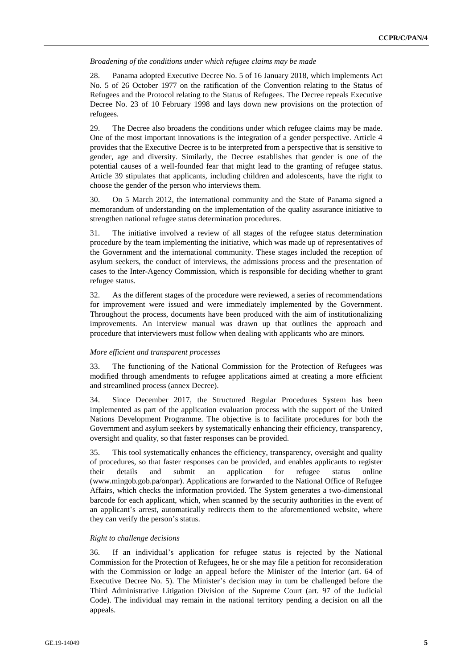*Broadening of the conditions under which refugee claims may be made*

28. Panama adopted Executive Decree No. 5 of 16 January 2018, which implements Act No. 5 of 26 October 1977 on the ratification of the Convention relating to the Status of Refugees and the Protocol relating to the Status of Refugees. The Decree repeals Executive Decree No. 23 of 10 February 1998 and lays down new provisions on the protection of refugees.

29. The Decree also broadens the conditions under which refugee claims may be made. One of the most important innovations is the integration of a gender perspective. Article 4 provides that the Executive Decree is to be interpreted from a perspective that is sensitive to gender, age and diversity. Similarly, the Decree establishes that gender is one of the potential causes of a well-founded fear that might lead to the granting of refugee status. Article 39 stipulates that applicants, including children and adolescents, have the right to choose the gender of the person who interviews them.

30. On 5 March 2012, the international community and the State of Panama signed a memorandum of understanding on the implementation of the quality assurance initiative to strengthen national refugee status determination procedures.

31. The initiative involved a review of all stages of the refugee status determination procedure by the team implementing the initiative, which was made up of representatives of the Government and the international community. These stages included the reception of asylum seekers, the conduct of interviews, the admissions process and the presentation of cases to the Inter-Agency Commission, which is responsible for deciding whether to grant refugee status.

32. As the different stages of the procedure were reviewed, a series of recommendations for improvement were issued and were immediately implemented by the Government. Throughout the process, documents have been produced with the aim of institutionalizing improvements. An interview manual was drawn up that outlines the approach and procedure that interviewers must follow when dealing with applicants who are minors.

#### *More efficient and transparent processes*

33. The functioning of the National Commission for the Protection of Refugees was modified through amendments to refugee applications aimed at creating a more efficient and streamlined process (annex Decree).

34. Since December 2017, the Structured Regular Procedures System has been implemented as part of the application evaluation process with the support of the United Nations Development Programme. The objective is to facilitate procedures for both the Government and asylum seekers by systematically enhancing their efficiency, transparency, oversight and quality, so that faster responses can be provided.

35. This tool systematically enhances the efficiency, transparency, oversight and quality of procedures, so that faster responses can be provided, and enables applicants to register their details and submit an application for refugee status online (www.mingob.gob.pa/onpar). Applications are forwarded to the National Office of Refugee Affairs, which checks the information provided. The System generates a two-dimensional barcode for each applicant, which, when scanned by the security authorities in the event of an applicant's arrest, automatically redirects them to the aforementioned website, where they can verify the person's status.

#### *Right to challenge decisions*

36. If an individual's application for refugee status is rejected by the National Commission for the Protection of Refugees, he or she may file a petition for reconsideration with the Commission or lodge an appeal before the Minister of the Interior (art. 64 of Executive Decree No. 5). The Minister's decision may in turn be challenged before the Third Administrative Litigation Division of the Supreme Court (art. 97 of the Judicial Code). The individual may remain in the national territory pending a decision on all the appeals.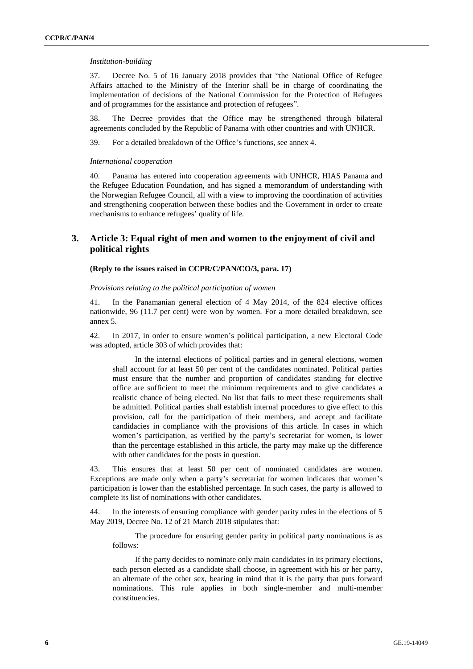#### *Institution-building*

37. Decree No. 5 of 16 January 2018 provides that "the National Office of Refugee Affairs attached to the Ministry of the Interior shall be in charge of coordinating the implementation of decisions of the National Commission for the Protection of Refugees and of programmes for the assistance and protection of refugees".

38. The Decree provides that the Office may be strengthened through bilateral agreements concluded by the Republic of Panama with other countries and with UNHCR.

39. For a detailed breakdown of the Office's functions, see annex 4.

#### *International cooperation*

40. Panama has entered into cooperation agreements with UNHCR, HIAS Panama and the Refugee Education Foundation, and has signed a memorandum of understanding with the Norwegian Refugee Council, all with a view to improving the coordination of activities and strengthening cooperation between these bodies and the Government in order to create mechanisms to enhance refugees' quality of life.

## **3. Article 3: Equal right of men and women to the enjoyment of civil and political rights**

#### **(Reply to the issues raised in CCPR/C/PAN/CO/3, para. 17)**

*Provisions relating to the political participation of women*

41. In the Panamanian general election of 4 May 2014, of the 824 elective offices nationwide, 96 (11.7 per cent) were won by women. For a more detailed breakdown, see annex 5.

42. In 2017, in order to ensure women's political participation, a new Electoral Code was adopted, article 303 of which provides that:

In the internal elections of political parties and in general elections, women shall account for at least 50 per cent of the candidates nominated. Political parties must ensure that the number and proportion of candidates standing for elective office are sufficient to meet the minimum requirements and to give candidates a realistic chance of being elected. No list that fails to meet these requirements shall be admitted. Political parties shall establish internal procedures to give effect to this provision, call for the participation of their members, and accept and facilitate candidacies in compliance with the provisions of this article. In cases in which women's participation, as verified by the party's secretariat for women, is lower than the percentage established in this article, the party may make up the difference with other candidates for the posts in question.

43. This ensures that at least 50 per cent of nominated candidates are women. Exceptions are made only when a party's secretariat for women indicates that women's participation is lower than the established percentage. In such cases, the party is allowed to complete its list of nominations with other candidates.

44. In the interests of ensuring compliance with gender parity rules in the elections of 5 May 2019, Decree No. 12 of 21 March 2018 stipulates that:

The procedure for ensuring gender parity in political party nominations is as follows:

If the party decides to nominate only main candidates in its primary elections, each person elected as a candidate shall choose, in agreement with his or her party, an alternate of the other sex, bearing in mind that it is the party that puts forward nominations. This rule applies in both single-member and multi-member constituencies.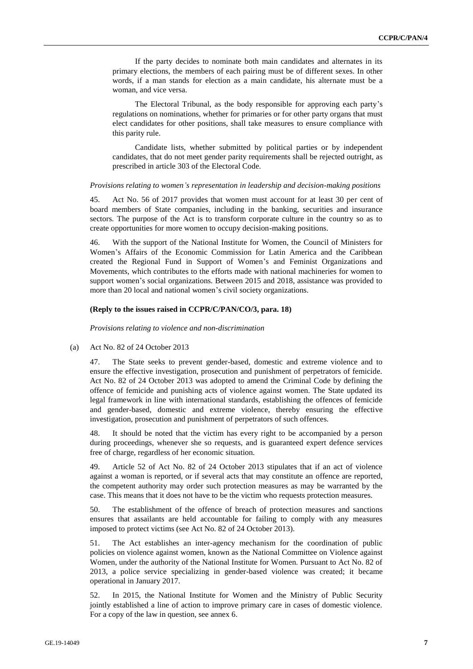If the party decides to nominate both main candidates and alternates in its primary elections, the members of each pairing must be of different sexes. In other words, if a man stands for election as a main candidate, his alternate must be a woman, and vice versa.

The Electoral Tribunal, as the body responsible for approving each party's regulations on nominations, whether for primaries or for other party organs that must elect candidates for other positions, shall take measures to ensure compliance with this parity rule.

Candidate lists, whether submitted by political parties or by independent candidates, that do not meet gender parity requirements shall be rejected outright, as prescribed in article 303 of the Electoral Code.

#### *Provisions relating to women's representation in leadership and decision-making positions*

45. Act No. 56 of 2017 provides that women must account for at least 30 per cent of board members of State companies, including in the banking, securities and insurance sectors. The purpose of the Act is to transform corporate culture in the country so as to create opportunities for more women to occupy decision-making positions.

46. With the support of the National Institute for Women, the Council of Ministers for Women's Affairs of the Economic Commission for Latin America and the Caribbean created the Regional Fund in Support of Women's and Feminist Organizations and Movements, which contributes to the efforts made with national machineries for women to support women's social organizations. Between 2015 and 2018, assistance was provided to more than 20 local and national women's civil society organizations.

#### **(Reply to the issues raised in CCPR/C/PAN/CO/3, para. 18)**

*Provisions relating to violence and non-discrimination*

(a) Act No. 82 of 24 October 2013

47. The State seeks to prevent gender-based, domestic and extreme violence and to ensure the effective investigation, prosecution and punishment of perpetrators of femicide. Act No. 82 of 24 October 2013 was adopted to amend the Criminal Code by defining the offence of femicide and punishing acts of violence against women. The State updated its legal framework in line with international standards, establishing the offences of femicide and gender-based, domestic and extreme violence, thereby ensuring the effective investigation, prosecution and punishment of perpetrators of such offences.

48. It should be noted that the victim has every right to be accompanied by a person during proceedings, whenever she so requests, and is guaranteed expert defence services free of charge, regardless of her economic situation.

49. Article 52 of Act No. 82 of 24 October 2013 stipulates that if an act of violence against a woman is reported, or if several acts that may constitute an offence are reported, the competent authority may order such protection measures as may be warranted by the case. This means that it does not have to be the victim who requests protection measures.

50. The establishment of the offence of breach of protection measures and sanctions ensures that assailants are held accountable for failing to comply with any measures imposed to protect victims (see Act No. 82 of 24 October 2013).

51. The Act establishes an inter-agency mechanism for the coordination of public policies on violence against women, known as the National Committee on Violence against Women, under the authority of the National Institute for Women. Pursuant to Act No. 82 of 2013, a police service specializing in gender-based violence was created; it became operational in January 2017.

52. In 2015, the National Institute for Women and the Ministry of Public Security jointly established a line of action to improve primary care in cases of domestic violence. For a copy of the law in question, see annex 6.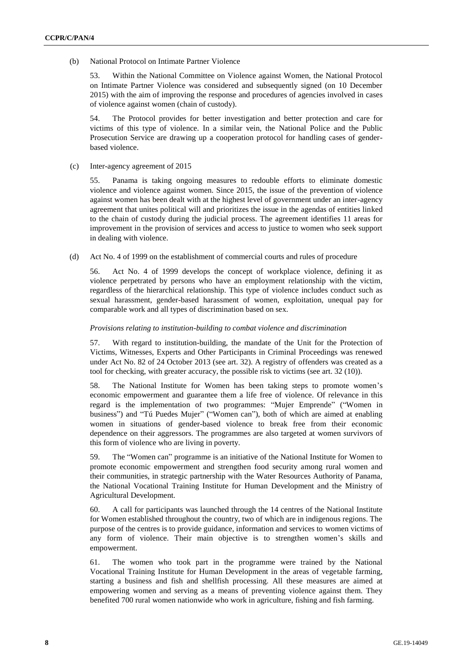(b) National Protocol on Intimate Partner Violence

53. Within the National Committee on Violence against Women, the National Protocol on Intimate Partner Violence was considered and subsequently signed (on 10 December 2015) with the aim of improving the response and procedures of agencies involved in cases of violence against women (chain of custody).

54. The Protocol provides for better investigation and better protection and care for victims of this type of violence. In a similar vein, the National Police and the Public Prosecution Service are drawing up a cooperation protocol for handling cases of genderbased violence.

(c) Inter-agency agreement of 2015

55. Panama is taking ongoing measures to redouble efforts to eliminate domestic violence and violence against women. Since 2015, the issue of the prevention of violence against women has been dealt with at the highest level of government under an inter-agency agreement that unites political will and prioritizes the issue in the agendas of entities linked to the chain of custody during the judicial process. The agreement identifies 11 areas for improvement in the provision of services and access to justice to women who seek support in dealing with violence.

(d) Act No. 4 of 1999 on the establishment of commercial courts and rules of procedure

56. Act No. 4 of 1999 develops the concept of workplace violence, defining it as violence perpetrated by persons who have an employment relationship with the victim, regardless of the hierarchical relationship. This type of violence includes conduct such as sexual harassment, gender-based harassment of women, exploitation, unequal pay for comparable work and all types of discrimination based on sex.

#### *Provisions relating to institution-building to combat violence and discrimination*

57. With regard to institution-building, the mandate of the Unit for the Protection of Victims, Witnesses, Experts and Other Participants in Criminal Proceedings was renewed under Act No. 82 of 24 October 2013 (see art. 32). A registry of offenders was created as a tool for checking, with greater accuracy, the possible risk to victims (see art. 32 (10)).

58. The National Institute for Women has been taking steps to promote women's economic empowerment and guarantee them a life free of violence. Of relevance in this regard is the implementation of two programmes: "Mujer Emprende" ("Women in business") and "Tú Puedes Mujer" ("Women can"), both of which are aimed at enabling women in situations of gender-based violence to break free from their economic dependence on their aggressors. The programmes are also targeted at women survivors of this form of violence who are living in poverty.

59. The "Women can" programme is an initiative of the National Institute for Women to promote economic empowerment and strengthen food security among rural women and their communities, in strategic partnership with the Water Resources Authority of Panama, the National Vocational Training Institute for Human Development and the Ministry of Agricultural Development.

60. A call for participants was launched through the 14 centres of the National Institute for Women established throughout the country, two of which are in indigenous regions. The purpose of the centres is to provide guidance, information and services to women victims of any form of violence. Their main objective is to strengthen women's skills and empowerment.

61. The women who took part in the programme were trained by the National Vocational Training Institute for Human Development in the areas of vegetable farming, starting a business and fish and shellfish processing. All these measures are aimed at empowering women and serving as a means of preventing violence against them. They benefited 700 rural women nationwide who work in agriculture, fishing and fish farming.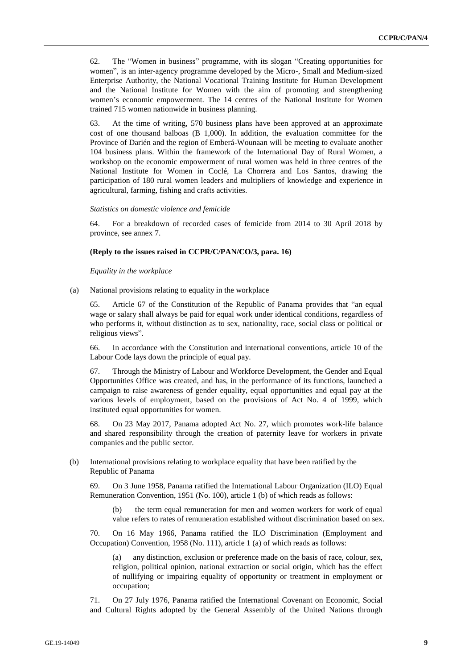62. The "Women in business" programme, with its slogan "Creating opportunities for women", is an inter-agency programme developed by the Micro-, Small and Medium-sized Enterprise Authority, the National Vocational Training Institute for Human Development and the National Institute for Women with the aim of promoting and strengthening women's economic empowerment. The 14 centres of the National Institute for Women trained 715 women nationwide in business planning.

63. At the time of writing, 570 business plans have been approved at an approximate cost of one thousand balboas (B 1,000). In addition, the evaluation committee for the Province of Darién and the region of Emberá-Wounaan will be meeting to evaluate another 104 business plans. Within the framework of the International Day of Rural Women, a workshop on the economic empowerment of rural women was held in three centres of the National Institute for Women in Coclé, La Chorrera and Los Santos, drawing the participation of 180 rural women leaders and multipliers of knowledge and experience in agricultural, farming, fishing and crafts activities.

#### *Statistics on domestic violence and femicide*

64. For a breakdown of recorded cases of femicide from 2014 to 30 April 2018 by province, see annex 7.

#### **(Reply to the issues raised in CCPR/C/PAN/CO/3, para. 16)**

*Equality in the workplace*

(a) National provisions relating to equality in the workplace

65. Article 67 of the Constitution of the Republic of Panama provides that "an equal wage or salary shall always be paid for equal work under identical conditions, regardless of who performs it, without distinction as to sex, nationality, race, social class or political or religious views".

66. In accordance with the Constitution and international conventions, article 10 of the Labour Code lays down the principle of equal pay.

67. Through the Ministry of Labour and Workforce Development, the Gender and Equal Opportunities Office was created, and has, in the performance of its functions, launched a campaign to raise awareness of gender equality, equal opportunities and equal pay at the various levels of employment, based on the provisions of Act No. 4 of 1999, which instituted equal opportunities for women.

68. On 23 May 2017, Panama adopted Act No. 27, which promotes work-life balance and shared responsibility through the creation of paternity leave for workers in private companies and the public sector.

(b) International provisions relating to workplace equality that have been ratified by the Republic of Panama

69. On 3 June 1958, Panama ratified the International Labour Organization (ILO) Equal Remuneration Convention, 1951 (No. 100), article 1 (b) of which reads as follows:

(b) the term equal remuneration for men and women workers for work of equal value refers to rates of remuneration established without discrimination based on sex.

70. On 16 May 1966, Panama ratified the ILO Discrimination (Employment and Occupation) Convention, 1958 (No. 111), article 1 (a) of which reads as follows:

(a) any distinction, exclusion or preference made on the basis of race, colour, sex, religion, political opinion, national extraction or social origin, which has the effect of nullifying or impairing equality of opportunity or treatment in employment or occupation;

71. On 27 July 1976, Panama ratified the International Covenant on Economic, Social and Cultural Rights adopted by the General Assembly of the United Nations through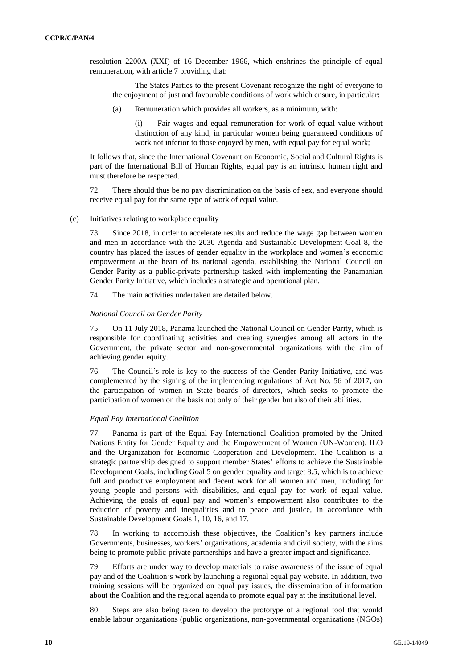resolution 2200A (XXI) of 16 December 1966, which enshrines the principle of equal remuneration, with article 7 providing that:

The States Parties to the present Covenant recognize the right of everyone to the enjoyment of just and favourable conditions of work which ensure, in particular:

(a) Remuneration which provides all workers, as a minimum, with:

(i) Fair wages and equal remuneration for work of equal value without distinction of any kind, in particular women being guaranteed conditions of work not inferior to those enjoyed by men, with equal pay for equal work;

It follows that, since the International Covenant on Economic, Social and Cultural Rights is part of the International Bill of Human Rights, equal pay is an intrinsic human right and must therefore be respected.

72. There should thus be no pay discrimination on the basis of sex, and everyone should receive equal pay for the same type of work of equal value.

(c) Initiatives relating to workplace equality

73. Since 2018, in order to accelerate results and reduce the wage gap between women and men in accordance with the 2030 Agenda and Sustainable Development Goal 8, the country has placed the issues of gender equality in the workplace and women's economic empowerment at the heart of its national agenda, establishing the National Council on Gender Parity as a public-private partnership tasked with implementing the Panamanian Gender Parity Initiative, which includes a strategic and operational plan.

74. The main activities undertaken are detailed below.

#### *National Council on Gender Parity*

75. On 11 July 2018, Panama launched the National Council on Gender Parity, which is responsible for coordinating activities and creating synergies among all actors in the Government, the private sector and non-governmental organizations with the aim of achieving gender equity.

76. The Council's role is key to the success of the Gender Parity Initiative, and was complemented by the signing of the implementing regulations of Act No. 56 of 2017, on the participation of women in State boards of directors, which seeks to promote the participation of women on the basis not only of their gender but also of their abilities.

#### *Equal Pay International Coalition*

77. Panama is part of the Equal Pay International Coalition promoted by the United Nations Entity for Gender Equality and the Empowerment of Women (UN-Women), ILO and the Organization for Economic Cooperation and Development. The Coalition is a strategic partnership designed to support member States' efforts to achieve the Sustainable Development Goals, including Goal 5 on gender equality and target 8.5, which is to achieve full and productive employment and decent work for all women and men, including for young people and persons with disabilities, and equal pay for work of equal value. Achieving the goals of equal pay and women's empowerment also contributes to the reduction of poverty and inequalities and to peace and justice, in accordance with Sustainable Development Goals 1, 10, 16, and 17.

78. In working to accomplish these objectives, the Coalition's key partners include Governments, businesses, workers' organizations, academia and civil society, with the aims being to promote public-private partnerships and have a greater impact and significance.

79. Efforts are under way to develop materials to raise awareness of the issue of equal pay and of the Coalition's work by launching a regional equal pay website. In addition, two training sessions will be organized on equal pay issues, the dissemination of information about the Coalition and the regional agenda to promote equal pay at the institutional level.

80. Steps are also being taken to develop the prototype of a regional tool that would enable labour organizations (public organizations, non-governmental organizations (NGOs)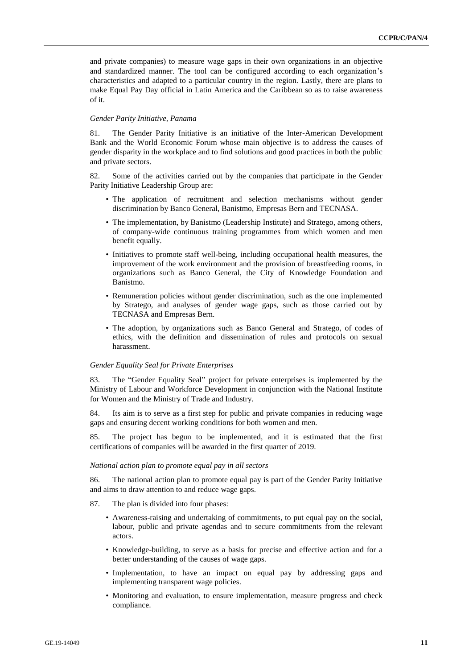and private companies) to measure wage gaps in their own organizations in an objective and standardized manner. The tool can be configured according to each organization's characteristics and adapted to a particular country in the region. Lastly, there are plans to make Equal Pay Day official in Latin America and the Caribbean so as to raise awareness of it.

#### *Gender Parity Initiative, Panama*

81. The Gender Parity Initiative is an initiative of the Inter-American Development Bank and the World Economic Forum whose main objective is to address the causes of gender disparity in the workplace and to find solutions and good practices in both the public and private sectors.

82. Some of the activities carried out by the companies that participate in the Gender Parity Initiative Leadership Group are:

- The application of recruitment and selection mechanisms without gender discrimination by Banco General, Banistmo, Empresas Bern and TECNASA.
- The implementation, by Banistmo (Leadership Institute) and Stratego, among others, of company-wide continuous training programmes from which women and men benefit equally.
- Initiatives to promote staff well-being, including occupational health measures, the improvement of the work environment and the provision of breastfeeding rooms, in organizations such as Banco General, the City of Knowledge Foundation and Banistmo.
- Remuneration policies without gender discrimination, such as the one implemented by Stratego, and analyses of gender wage gaps, such as those carried out by TECNASA and Empresas Bern.
- The adoption, by organizations such as Banco General and Stratego, of codes of ethics, with the definition and dissemination of rules and protocols on sexual harassment.

#### *Gender Equality Seal for Private Enterprises*

83. The "Gender Equality Seal" project for private enterprises is implemented by the Ministry of Labour and Workforce Development in conjunction with the National Institute for Women and the Ministry of Trade and Industry.

84. Its aim is to serve as a first step for public and private companies in reducing wage gaps and ensuring decent working conditions for both women and men.

85. The project has begun to be implemented, and it is estimated that the first certifications of companies will be awarded in the first quarter of 2019.

#### *National action plan to promote equal pay in all sectors*

86. The national action plan to promote equal pay is part of the Gender Parity Initiative and aims to draw attention to and reduce wage gaps.

- 87. The plan is divided into four phases:
	- Awareness-raising and undertaking of commitments, to put equal pay on the social, labour, public and private agendas and to secure commitments from the relevant actors.
	- Knowledge-building, to serve as a basis for precise and effective action and for a better understanding of the causes of wage gaps.
	- Implementation, to have an impact on equal pay by addressing gaps and implementing transparent wage policies.
	- Monitoring and evaluation, to ensure implementation, measure progress and check compliance.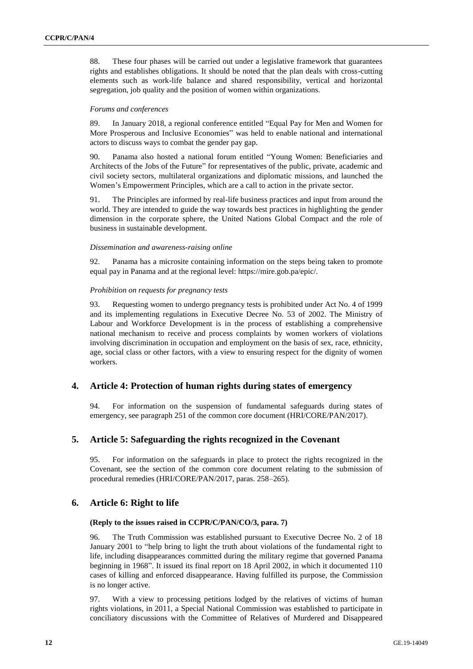88. These four phases will be carried out under a legislative framework that guarantees rights and establishes obligations. It should be noted that the plan deals with cross-cutting elements such as work-life balance and shared responsibility, vertical and horizontal segregation, job quality and the position of women within organizations.

#### *Forums and conferences*

89. In January 2018, a regional conference entitled "Equal Pay for Men and Women for More Prosperous and Inclusive Economies" was held to enable national and international actors to discuss ways to combat the gender pay gap.

90. Panama also hosted a national forum entitled "Young Women: Beneficiaries and Architects of the Jobs of the Future" for representatives of the public, private, academic and civil society sectors, multilateral organizations and diplomatic missions, and launched the Women's Empowerment Principles, which are a call to action in the private sector.

91. The Principles are informed by real-life business practices and input from around the world. They are intended to guide the way towards best practices in highlighting the gender dimension in the corporate sphere, the United Nations Global Compact and the role of business in sustainable development.

#### *Dissemination and awareness-raising online*

92. Panama has a microsite containing information on the steps being taken to promote equal pay in Panama and at the regional level: https://mire.gob.pa/epic/.

#### *Prohibition on requests for pregnancy tests*

93. Requesting women to undergo pregnancy tests is prohibited under Act No. 4 of 1999 and its implementing regulations in Executive Decree No. 53 of 2002. The Ministry of Labour and Workforce Development is in the process of establishing a comprehensive national mechanism to receive and process complaints by women workers of violations involving discrimination in occupation and employment on the basis of sex, race, ethnicity, age, social class or other factors, with a view to ensuring respect for the dignity of women workers.

## **4. Article 4: Protection of human rights during states of emergency**

94. For information on the suspension of fundamental safeguards during states of emergency, see paragraph 251 of the common core document (HRI/CORE/PAN/2017).

## **5. Article 5: Safeguarding the rights recognized in the Covenant**

95. For information on the safeguards in place to protect the rights recognized in the Covenant, see the section of the common core document relating to the submission of procedural remedies (HRI/CORE/PAN/2017, paras. 258–265).

## **6. Article 6: Right to life**

#### **(Reply to the issues raised in CCPR/C/PAN/CO/3, para. 7)**

96. The Truth Commission was established pursuant to Executive Decree No. 2 of 18 January 2001 to "help bring to light the truth about violations of the fundamental right to life, including disappearances committed during the military regime that governed Panama beginning in 1968". It issued its final report on 18 April 2002, in which it documented 110 cases of killing and enforced disappearance. Having fulfilled its purpose, the Commission is no longer active.

97. With a view to processing petitions lodged by the relatives of victims of human rights violations, in 2011, a Special National Commission was established to participate in conciliatory discussions with the Committee of Relatives of Murdered and Disappeared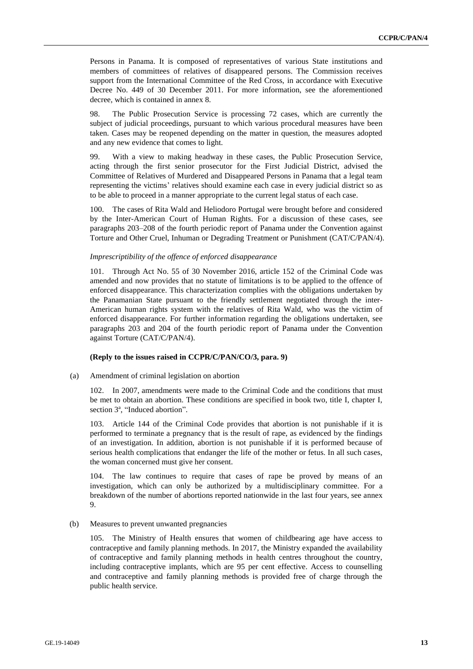Persons in Panama. It is composed of representatives of various State institutions and members of committees of relatives of disappeared persons. The Commission receives support from the International Committee of the Red Cross, in accordance with Executive Decree No. 449 of 30 December 2011. For more information, see the aforementioned decree, which is contained in annex 8.

98. The Public Prosecution Service is processing 72 cases, which are currently the subject of judicial proceedings, pursuant to which various procedural measures have been taken. Cases may be reopened depending on the matter in question, the measures adopted and any new evidence that comes to light.

99. With a view to making headway in these cases, the Public Prosecution Service, acting through the first senior prosecutor for the First Judicial District, advised the Committee of Relatives of Murdered and Disappeared Persons in Panama that a legal team representing the victims' relatives should examine each case in every judicial district so as to be able to proceed in a manner appropriate to the current legal status of each case.

100. The cases of Rita Wald and Heliodoro Portugal were brought before and considered by the Inter-American Court of Human Rights. For a discussion of these cases, see paragraphs 203–208 of the fourth periodic report of Panama under the Convention against Torture and Other Cruel, Inhuman or Degrading Treatment or Punishment (CAT/C/PAN/4).

#### *Imprescriptibility of the offence of enforced disappearance*

101. Through Act No. 55 of 30 November 2016, article 152 of the Criminal Code was amended and now provides that no statute of limitations is to be applied to the offence of enforced disappearance. This characterization complies with the obligations undertaken by the Panamanian State pursuant to the friendly settlement negotiated through the inter-American human rights system with the relatives of Rita Wald, who was the victim of enforced disappearance. For further information regarding the obligations undertaken, see paragraphs 203 and 204 of the fourth periodic report of Panama under the Convention against Torture (CAT/C/PAN/4).

#### **(Reply to the issues raised in CCPR/C/PAN/CO/3, para. 9)**

(a) Amendment of criminal legislation on abortion

102. In 2007, amendments were made to the Criminal Code and the conditions that must be met to obtain an abortion. These conditions are specified in book two, title I, chapter I, section  $3^a$ , "Induced abortion".

103. Article 144 of the Criminal Code provides that abortion is not punishable if it is performed to terminate a pregnancy that is the result of rape, as evidenced by the findings of an investigation. In addition, abortion is not punishable if it is performed because of serious health complications that endanger the life of the mother or fetus. In all such cases, the woman concerned must give her consent.

104. The law continues to require that cases of rape be proved by means of an investigation, which can only be authorized by a multidisciplinary committee. For a breakdown of the number of abortions reported nationwide in the last four years, see annex 9.

#### (b) Measures to prevent unwanted pregnancies

105. The Ministry of Health ensures that women of childbearing age have access to contraceptive and family planning methods. In 2017, the Ministry expanded the availability of contraceptive and family planning methods in health centres throughout the country, including contraceptive implants, which are 95 per cent effective. Access to counselling and contraceptive and family planning methods is provided free of charge through the public health service.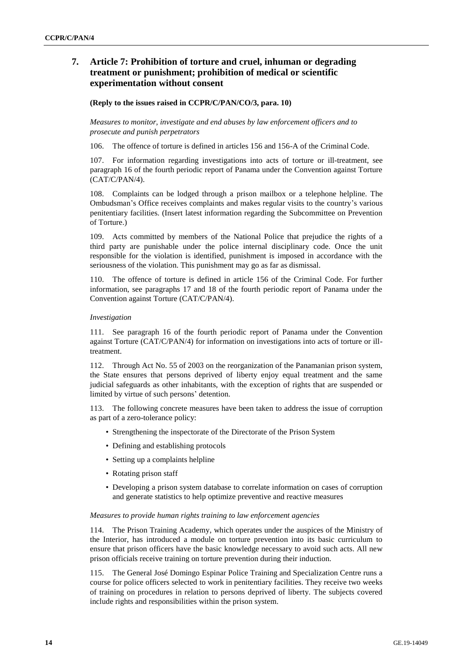## **7. Article 7: Prohibition of torture and cruel, inhuman or degrading treatment or punishment; prohibition of medical or scientific experimentation without consent**

#### **(Reply to the issues raised in CCPR/C/PAN/CO/3, para. 10)**

*Measures to monitor, investigate and end abuses by law enforcement officers and to prosecute and punish perpetrators*

106. The offence of torture is defined in articles 156 and 156-A of the Criminal Code.

107. For information regarding investigations into acts of torture or ill-treatment, see paragraph 16 of the fourth periodic report of Panama under the Convention against Torture (CAT/C/PAN/4).

108. Complaints can be lodged through a prison mailbox or a telephone helpline. The Ombudsman's Office receives complaints and makes regular visits to the country's various penitentiary facilities. (Insert latest information regarding the Subcommittee on Prevention of Torture.)

109. Acts committed by members of the National Police that prejudice the rights of a third party are punishable under the police internal disciplinary code. Once the unit responsible for the violation is identified, punishment is imposed in accordance with the seriousness of the violation. This punishment may go as far as dismissal.

110. The offence of torture is defined in article 156 of the Criminal Code. For further information, see paragraphs 17 and 18 of the fourth periodic report of Panama under the Convention against Torture (CAT/C/PAN/4).

#### *Investigation*

111. See paragraph 16 of the fourth periodic report of Panama under the Convention against Torture (CAT/C/PAN/4) for information on investigations into acts of torture or illtreatment.

112. Through Act No. 55 of 2003 on the reorganization of the Panamanian prison system, the State ensures that persons deprived of liberty enjoy equal treatment and the same judicial safeguards as other inhabitants, with the exception of rights that are suspended or limited by virtue of such persons' detention.

113. The following concrete measures have been taken to address the issue of corruption as part of a zero-tolerance policy:

- Strengthening the inspectorate of the Directorate of the Prison System
- Defining and establishing protocols
- Setting up a complaints helpline
- Rotating prison staff
- Developing a prison system database to correlate information on cases of corruption and generate statistics to help optimize preventive and reactive measures

#### *Measures to provide human rights training to law enforcement agencies*

114. The Prison Training Academy, which operates under the auspices of the Ministry of the Interior, has introduced a module on torture prevention into its basic curriculum to ensure that prison officers have the basic knowledge necessary to avoid such acts. All new prison officials receive training on torture prevention during their induction.

115. The General José Domingo Espinar Police Training and Specialization Centre runs a course for police officers selected to work in penitentiary facilities. They receive two weeks of training on procedures in relation to persons deprived of liberty. The subjects covered include rights and responsibilities within the prison system.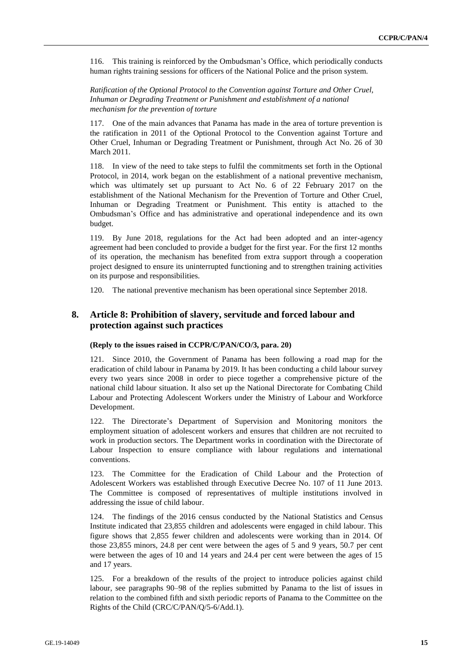116. This training is reinforced by the Ombudsman's Office, which periodically conducts human rights training sessions for officers of the National Police and the prison system.

*Ratification of the Optional Protocol to the Convention against Torture and Other Cruel, Inhuman or Degrading Treatment or Punishment and establishment of a national mechanism for the prevention of torture*

117. One of the main advances that Panama has made in the area of torture prevention is the ratification in 2011 of the Optional Protocol to the Convention against Torture and Other Cruel, Inhuman or Degrading Treatment or Punishment, through Act No. 26 of 30 March 2011.

118. In view of the need to take steps to fulfil the commitments set forth in the Optional Protocol, in 2014, work began on the establishment of a national preventive mechanism, which was ultimately set up pursuant to Act No. 6 of 22 February 2017 on the establishment of the National Mechanism for the Prevention of Torture and Other Cruel, Inhuman or Degrading Treatment or Punishment. This entity is attached to the Ombudsman's Office and has administrative and operational independence and its own budget.

119. By June 2018, regulations for the Act had been adopted and an inter-agency agreement had been concluded to provide a budget for the first year. For the first 12 months of its operation, the mechanism has benefited from extra support through a cooperation project designed to ensure its uninterrupted functioning and to strengthen training activities on its purpose and responsibilities.

120. The national preventive mechanism has been operational since September 2018.

## **8. Article 8: Prohibition of slavery, servitude and forced labour and protection against such practices**

#### **(Reply to the issues raised in CCPR/C/PAN/CO/3, para. 20)**

121. Since 2010, the Government of Panama has been following a road map for the eradication of child labour in Panama by 2019. It has been conducting a child labour survey every two years since 2008 in order to piece together a comprehensive picture of the national child labour situation. It also set up the National Directorate for Combating Child Labour and Protecting Adolescent Workers under the Ministry of Labour and Workforce Development.

122. The Directorate's Department of Supervision and Monitoring monitors the employment situation of adolescent workers and ensures that children are not recruited to work in production sectors. The Department works in coordination with the Directorate of Labour Inspection to ensure compliance with labour regulations and international conventions.

123. The Committee for the Eradication of Child Labour and the Protection of Adolescent Workers was established through Executive Decree No. 107 of 11 June 2013. The Committee is composed of representatives of multiple institutions involved in addressing the issue of child labour.

124. The findings of the 2016 census conducted by the National Statistics and Census Institute indicated that 23,855 children and adolescents were engaged in child labour. This figure shows that 2,855 fewer children and adolescents were working than in 2014. Of those 23,855 minors, 24.8 per cent were between the ages of 5 and 9 years, 50.7 per cent were between the ages of 10 and 14 years and 24.4 per cent were between the ages of 15 and 17 years.

125. For a breakdown of the results of the project to introduce policies against child labour, see paragraphs 90–98 of the replies submitted by Panama to the list of issues in relation to the combined fifth and sixth periodic reports of Panama to the Committee on the Rights of the Child (CRC/C/PAN/Q/5-6/Add.1).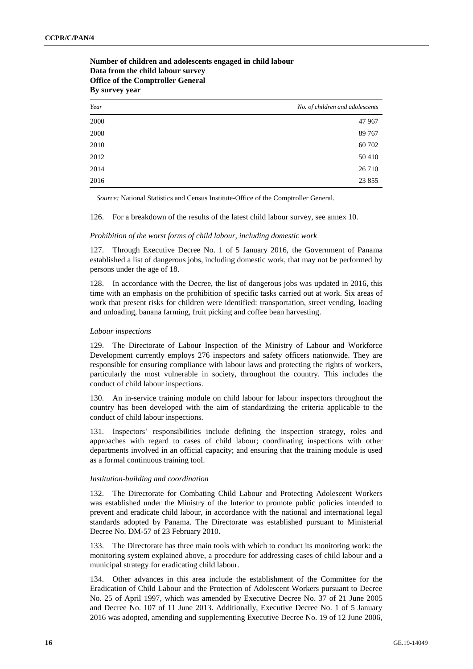| By survey year |                                 |
|----------------|---------------------------------|
| Year           | No. of children and adolescents |
| 2000           | 47 967                          |
| 2008           | 89 767                          |
| 2010           | 60 702                          |
| 2012           | 50410                           |
| 2014           | 26 7 10                         |
| 2016           | 23 855                          |

**Number of children and adolescents engaged in child labour Data from the child labour survey Office of the Comptroller General** 

*Source:* National Statistics and Census Institute-Office of the Comptroller General.

126. For a breakdown of the results of the latest child labour survey, see annex 10.

#### *Prohibition of the worst forms of child labour, including domestic work*

127. Through Executive Decree No. 1 of 5 January 2016, the Government of Panama established a list of dangerous jobs, including domestic work, that may not be performed by persons under the age of 18.

128. In accordance with the Decree, the list of dangerous jobs was updated in 2016, this time with an emphasis on the prohibition of specific tasks carried out at work. Six areas of work that present risks for children were identified: transportation, street vending, loading and unloading, banana farming, fruit picking and coffee bean harvesting.

#### *Labour inspections*

129. The Directorate of Labour Inspection of the Ministry of Labour and Workforce Development currently employs 276 inspectors and safety officers nationwide. They are responsible for ensuring compliance with labour laws and protecting the rights of workers, particularly the most vulnerable in society, throughout the country. This includes the conduct of child labour inspections.

130. An in-service training module on child labour for labour inspectors throughout the country has been developed with the aim of standardizing the criteria applicable to the conduct of child labour inspections.

131. Inspectors' responsibilities include defining the inspection strategy, roles and approaches with regard to cases of child labour; coordinating inspections with other departments involved in an official capacity; and ensuring that the training module is used as a formal continuous training tool.

#### *Institution-building and coordination*

132. The Directorate for Combating Child Labour and Protecting Adolescent Workers was established under the Ministry of the Interior to promote public policies intended to prevent and eradicate child labour, in accordance with the national and international legal standards adopted by Panama. The Directorate was established pursuant to Ministerial Decree No. DM-57 of 23 February 2010.

133. The Directorate has three main tools with which to conduct its monitoring work: the monitoring system explained above, a procedure for addressing cases of child labour and a municipal strategy for eradicating child labour.

134. Other advances in this area include the establishment of the Committee for the Eradication of Child Labour and the Protection of Adolescent Workers pursuant to Decree No. 25 of April 1997, which was amended by Executive Decree No. 37 of 21 June 2005 and Decree No. 107 of 11 June 2013. Additionally, Executive Decree No. 1 of 5 January 2016 was adopted, amending and supplementing Executive Decree No. 19 of 12 June 2006,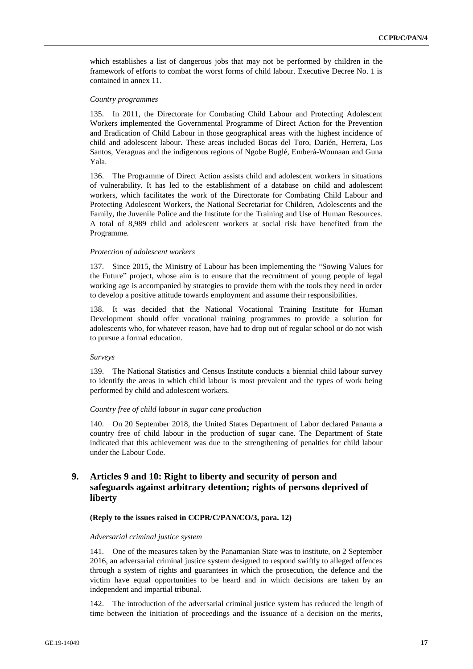which establishes a list of dangerous jobs that may not be performed by children in the framework of efforts to combat the worst forms of child labour. Executive Decree No. 1 is contained in annex 11.

#### *Country programmes*

135. In 2011, the Directorate for Combating Child Labour and Protecting Adolescent Workers implemented the Governmental Programme of Direct Action for the Prevention and Eradication of Child Labour in those geographical areas with the highest incidence of child and adolescent labour. These areas included Bocas del Toro, Darién, Herrera, Los Santos, Veraguas and the indigenous regions of Ngobe Buglé, Emberá-Wounaan and Guna Yala.

136. The Programme of Direct Action assists child and adolescent workers in situations of vulnerability. It has led to the establishment of a database on child and adolescent workers, which facilitates the work of the Directorate for Combating Child Labour and Protecting Adolescent Workers, the National Secretariat for Children, Adolescents and the Family, the Juvenile Police and the Institute for the Training and Use of Human Resources. A total of 8,989 child and adolescent workers at social risk have benefited from the Programme.

#### *Protection of adolescent workers*

137. Since 2015, the Ministry of Labour has been implementing the "Sowing Values for the Future" project, whose aim is to ensure that the recruitment of young people of legal working age is accompanied by strategies to provide them with the tools they need in order to develop a positive attitude towards employment and assume their responsibilities.

138. It was decided that the National Vocational Training Institute for Human Development should offer vocational training programmes to provide a solution for adolescents who, for whatever reason, have had to drop out of regular school or do not wish to pursue a formal education.

#### *Surveys*

139. The National Statistics and Census Institute conducts a biennial child labour survey to identify the areas in which child labour is most prevalent and the types of work being performed by child and adolescent workers.

#### *Country free of child labour in sugar cane production*

140. On 20 September 2018, the United States Department of Labor declared Panama a country free of child labour in the production of sugar cane. The Department of State indicated that this achievement was due to the strengthening of penalties for child labour under the Labour Code.

## **9. Articles 9 and 10: Right to liberty and security of person and safeguards against arbitrary detention; rights of persons deprived of liberty**

#### **(Reply to the issues raised in CCPR/C/PAN/CO/3, para. 12)**

#### *Adversarial criminal justice system*

141. One of the measures taken by the Panamanian State was to institute, on 2 September 2016, an adversarial criminal justice system designed to respond swiftly to alleged offences through a system of rights and guarantees in which the prosecution, the defence and the victim have equal opportunities to be heard and in which decisions are taken by an independent and impartial tribunal.

142. The introduction of the adversarial criminal justice system has reduced the length of time between the initiation of proceedings and the issuance of a decision on the merits,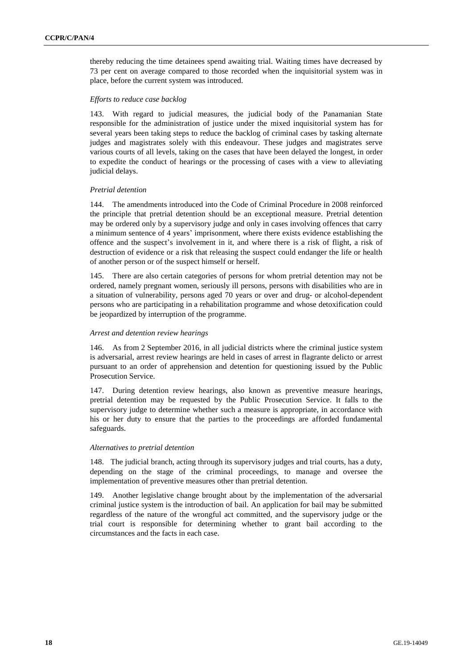thereby reducing the time detainees spend awaiting trial. Waiting times have decreased by 73 per cent on average compared to those recorded when the inquisitorial system was in place, before the current system was introduced.

#### *Efforts to reduce case backlog*

143. With regard to judicial measures, the judicial body of the Panamanian State responsible for the administration of justice under the mixed inquisitorial system has for several years been taking steps to reduce the backlog of criminal cases by tasking alternate judges and magistrates solely with this endeavour. These judges and magistrates serve various courts of all levels, taking on the cases that have been delayed the longest, in order to expedite the conduct of hearings or the processing of cases with a view to alleviating judicial delays.

#### *Pretrial detention*

144. The amendments introduced into the Code of Criminal Procedure in 2008 reinforced the principle that pretrial detention should be an exceptional measure. Pretrial detention may be ordered only by a supervisory judge and only in cases involving offences that carry a minimum sentence of 4 years' imprisonment, where there exists evidence establishing the offence and the suspect's involvement in it, and where there is a risk of flight, a risk of destruction of evidence or a risk that releasing the suspect could endanger the life or health of another person or of the suspect himself or herself.

145. There are also certain categories of persons for whom pretrial detention may not be ordered, namely pregnant women, seriously ill persons, persons with disabilities who are in a situation of vulnerability, persons aged 70 years or over and drug- or alcohol-dependent persons who are participating in a rehabilitation programme and whose detoxification could be jeopardized by interruption of the programme.

#### *Arrest and detention review hearings*

146. As from 2 September 2016, in all judicial districts where the criminal justice system is adversarial, arrest review hearings are held in cases of arrest in flagrante delicto or arrest pursuant to an order of apprehension and detention for questioning issued by the Public Prosecution Service.

147. During detention review hearings, also known as preventive measure hearings, pretrial detention may be requested by the Public Prosecution Service. It falls to the supervisory judge to determine whether such a measure is appropriate, in accordance with his or her duty to ensure that the parties to the proceedings are afforded fundamental safeguards.

#### *Alternatives to pretrial detention*

148. The judicial branch, acting through its supervisory judges and trial courts, has a duty, depending on the stage of the criminal proceedings, to manage and oversee the implementation of preventive measures other than pretrial detention.

149. Another legislative change brought about by the implementation of the adversarial criminal justice system is the introduction of bail. An application for bail may be submitted regardless of the nature of the wrongful act committed, and the supervisory judge or the trial court is responsible for determining whether to grant bail according to the circumstances and the facts in each case.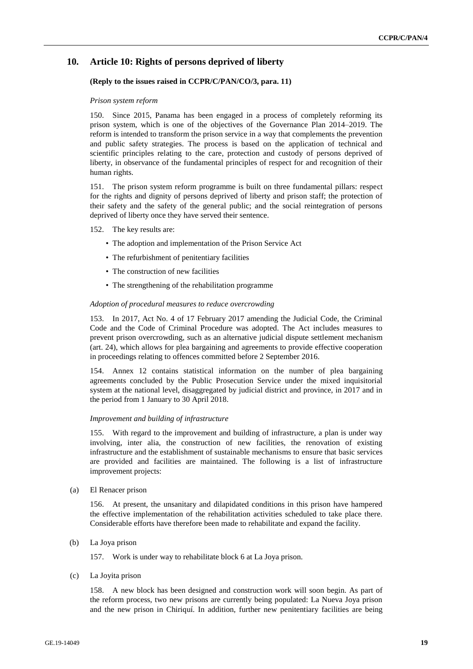## **10. Article 10: Rights of persons deprived of liberty**

#### **(Reply to the issues raised in CCPR/C/PAN/CO/3, para. 11)**

#### *Prison system reform*

150. Since 2015, Panama has been engaged in a process of completely reforming its prison system, which is one of the objectives of the Governance Plan 2014–2019. The reform is intended to transform the prison service in a way that complements the prevention and public safety strategies. The process is based on the application of technical and scientific principles relating to the care, protection and custody of persons deprived of liberty, in observance of the fundamental principles of respect for and recognition of their human rights.

151. The prison system reform programme is built on three fundamental pillars: respect for the rights and dignity of persons deprived of liberty and prison staff; the protection of their safety and the safety of the general public; and the social reintegration of persons deprived of liberty once they have served their sentence.

#### 152. The key results are:

- The adoption and implementation of the Prison Service Act
- The refurbishment of penitentiary facilities
- The construction of new facilities
- The strengthening of the rehabilitation programme

#### *Adoption of procedural measures to reduce overcrowding*

153. In 2017, Act No. 4 of 17 February 2017 amending the Judicial Code, the Criminal Code and the Code of Criminal Procedure was adopted. The Act includes measures to prevent prison overcrowding, such as an alternative judicial dispute settlement mechanism (art. 24), which allows for plea bargaining and agreements to provide effective cooperation in proceedings relating to offences committed before 2 September 2016.

154. Annex 12 contains statistical information on the number of plea bargaining agreements concluded by the Public Prosecution Service under the mixed inquisitorial system at the national level, disaggregated by judicial district and province, in 2017 and in the period from 1 January to 30 April 2018.

#### *Improvement and building of infrastructure*

155. With regard to the improvement and building of infrastructure, a plan is under way involving, inter alia, the construction of new facilities, the renovation of existing infrastructure and the establishment of sustainable mechanisms to ensure that basic services are provided and facilities are maintained. The following is a list of infrastructure improvement projects:

(a) El Renacer prison

156. At present, the unsanitary and dilapidated conditions in this prison have hampered the effective implementation of the rehabilitation activities scheduled to take place there. Considerable efforts have therefore been made to rehabilitate and expand the facility.

(b) La Joya prison

157. Work is under way to rehabilitate block 6 at La Joya prison.

(c) La Joyita prison

158. A new block has been designed and construction work will soon begin. As part of the reform process, two new prisons are currently being populated: La Nueva Joya prison and the new prison in Chiriquí. In addition, further new penitentiary facilities are being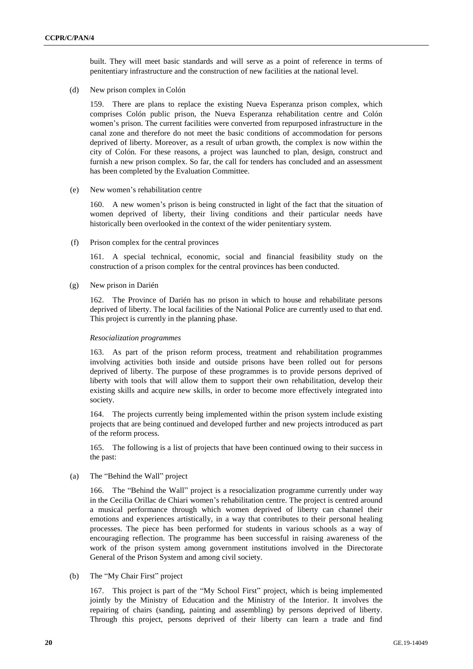built. They will meet basic standards and will serve as a point of reference in terms of penitentiary infrastructure and the construction of new facilities at the national level.

(d) New prison complex in Colón

159. There are plans to replace the existing Nueva Esperanza prison complex, which comprises Colón public prison, the Nueva Esperanza rehabilitation centre and Colón women's prison. The current facilities were converted from repurposed infrastructure in the canal zone and therefore do not meet the basic conditions of accommodation for persons deprived of liberty. Moreover, as a result of urban growth, the complex is now within the city of Colón. For these reasons, a project was launched to plan, design, construct and furnish a new prison complex. So far, the call for tenders has concluded and an assessment has been completed by the Evaluation Committee.

(e) New women's rehabilitation centre

160. A new women's prison is being constructed in light of the fact that the situation of women deprived of liberty, their living conditions and their particular needs have historically been overlooked in the context of the wider penitentiary system.

(f) Prison complex for the central provinces

161. A special technical, economic, social and financial feasibility study on the construction of a prison complex for the central provinces has been conducted.

(g) New prison in Darién

162. The Province of Darién has no prison in which to house and rehabilitate persons deprived of liberty. The local facilities of the National Police are currently used to that end. This project is currently in the planning phase.

#### *Resocialization programmes*

163. As part of the prison reform process, treatment and rehabilitation programmes involving activities both inside and outside prisons have been rolled out for persons deprived of liberty. The purpose of these programmes is to provide persons deprived of liberty with tools that will allow them to support their own rehabilitation, develop their existing skills and acquire new skills, in order to become more effectively integrated into society.

164. The projects currently being implemented within the prison system include existing projects that are being continued and developed further and new projects introduced as part of the reform process.

165. The following is a list of projects that have been continued owing to their success in the past:

(a) The "Behind the Wall" project

166. The "Behind the Wall" project is a resocialization programme currently under way in the Cecilia Orillac de Chiari women's rehabilitation centre. The project is centred around a musical performance through which women deprived of liberty can channel their emotions and experiences artistically, in a way that contributes to their personal healing processes. The piece has been performed for students in various schools as a way of encouraging reflection. The programme has been successful in raising awareness of the work of the prison system among government institutions involved in the Directorate General of the Prison System and among civil society.

(b) The "My Chair First" project

167. This project is part of the "My School First" project, which is being implemented jointly by the Ministry of Education and the Ministry of the Interior. It involves the repairing of chairs (sanding, painting and assembling) by persons deprived of liberty. Through this project, persons deprived of their liberty can learn a trade and find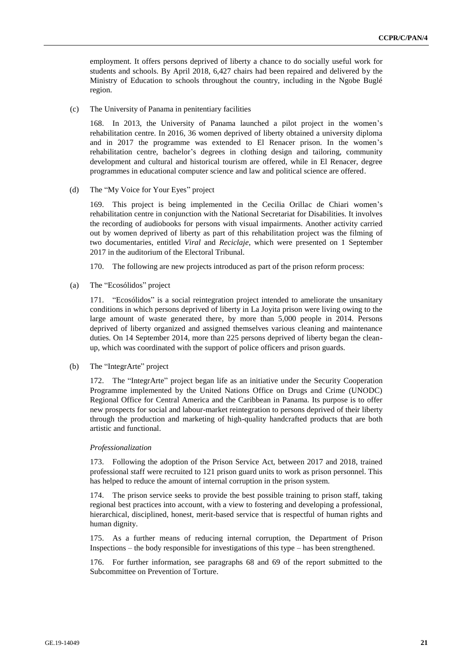employment. It offers persons deprived of liberty a chance to do socially useful work for students and schools. By April 2018, 6,427 chairs had been repaired and delivered by the Ministry of Education to schools throughout the country, including in the Ngobe Buglé region.

(c) The University of Panama in penitentiary facilities

168. In 2013, the University of Panama launched a pilot project in the women's rehabilitation centre. In 2016, 36 women deprived of liberty obtained a university diploma and in 2017 the programme was extended to El Renacer prison. In the women's rehabilitation centre, bachelor's degrees in clothing design and tailoring, community development and cultural and historical tourism are offered, while in El Renacer, degree programmes in educational computer science and law and political science are offered.

(d) The "My Voice for Your Eyes" project

169. This project is being implemented in the Cecilia Orillac de Chiari women's rehabilitation centre in conjunction with the National Secretariat for Disabilities. It involves the recording of audiobooks for persons with visual impairments. Another activity carried out by women deprived of liberty as part of this rehabilitation project was the filming of two documentaries, entitled *Viral* and *Reciclaje*, which were presented on 1 September 2017 in the auditorium of the Electoral Tribunal.

170. The following are new projects introduced as part of the prison reform process:

(a) The "Ecosólidos" project

171. "Ecosólidos" is a social reintegration project intended to ameliorate the unsanitary conditions in which persons deprived of liberty in La Joyita prison were living owing to the large amount of waste generated there, by more than 5,000 people in 2014. Persons deprived of liberty organized and assigned themselves various cleaning and maintenance duties. On 14 September 2014, more than 225 persons deprived of liberty began the cleanup, which was coordinated with the support of police officers and prison guards.

#### (b) The "IntegrArte" project

172. The "IntegrArte" project began life as an initiative under the Security Cooperation Programme implemented by the United Nations Office on Drugs and Crime (UNODC) Regional Office for Central America and the Caribbean in Panama. Its purpose is to offer new prospects for social and labour-market reintegration to persons deprived of their liberty through the production and marketing of high-quality handcrafted products that are both artistic and functional.

#### *Professionalization*

173. Following the adoption of the Prison Service Act, between 2017 and 2018, trained professional staff were recruited to 121 prison guard units to work as prison personnel. This has helped to reduce the amount of internal corruption in the prison system.

174. The prison service seeks to provide the best possible training to prison staff, taking regional best practices into account, with a view to fostering and developing a professional, hierarchical, disciplined, honest, merit-based service that is respectful of human rights and human dignity.

175. As a further means of reducing internal corruption, the Department of Prison Inspections – the body responsible for investigations of this type – has been strengthened.

176. For further information, see paragraphs 68 and 69 of the report submitted to the Subcommittee on Prevention of Torture.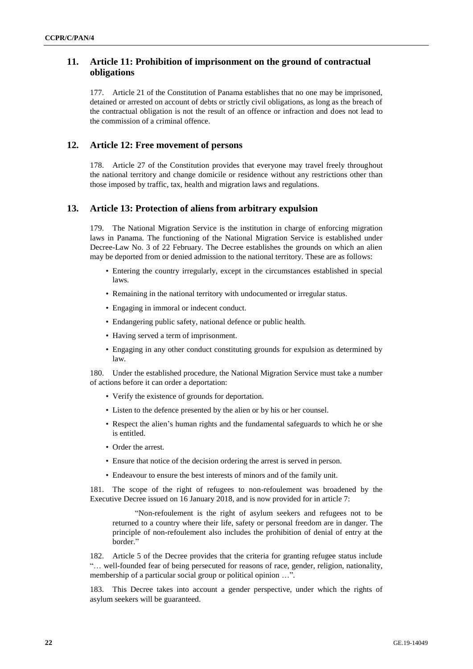## **11. Article 11: Prohibition of imprisonment on the ground of contractual obligations**

177. Article 21 of the Constitution of Panama establishes that no one may be imprisoned, detained or arrested on account of debts or strictly civil obligations, as long as the breach of the contractual obligation is not the result of an offence or infraction and does not lead to the commission of a criminal offence.

## **12. Article 12: Free movement of persons**

178. Article 27 of the Constitution provides that everyone may travel freely throughout the national territory and change domicile or residence without any restrictions other than those imposed by traffic, tax, health and migration laws and regulations.

## **13. Article 13: Protection of aliens from arbitrary expulsion**

179. The National Migration Service is the institution in charge of enforcing migration laws in Panama. The functioning of the National Migration Service is established under Decree-Law No. 3 of 22 February. The Decree establishes the grounds on which an alien may be deported from or denied admission to the national territory. These are as follows:

- Entering the country irregularly, except in the circumstances established in special laws.
- Remaining in the national territory with undocumented or irregular status.
- Engaging in immoral or indecent conduct.
- Endangering public safety, national defence or public health.
- Having served a term of imprisonment.
- Engaging in any other conduct constituting grounds for expulsion as determined by law.

180. Under the established procedure, the National Migration Service must take a number of actions before it can order a deportation:

- Verify the existence of grounds for deportation.
- Listen to the defence presented by the alien or by his or her counsel.
- Respect the alien's human rights and the fundamental safeguards to which he or she is entitled.
- Order the arrest.
- Ensure that notice of the decision ordering the arrest is served in person.
- Endeavour to ensure the best interests of minors and of the family unit.

181. The scope of the right of refugees to non-refoulement was broadened by the Executive Decree issued on 16 January 2018, and is now provided for in article 7:

"Non-refoulement is the right of asylum seekers and refugees not to be returned to a country where their life, safety or personal freedom are in danger. The principle of non-refoulement also includes the prohibition of denial of entry at the border."

182. Article 5 of the Decree provides that the criteria for granting refugee status include "… well-founded fear of being persecuted for reasons of race, gender, religion, nationality, membership of a particular social group or political opinion ...".

183. This Decree takes into account a gender perspective, under which the rights of asylum seekers will be guaranteed.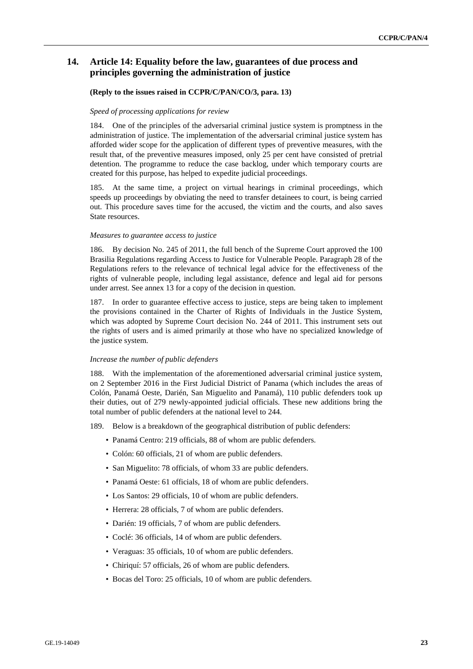## **14. Article 14: Equality before the law, guarantees of due process and principles governing the administration of justice**

#### **(Reply to the issues raised in CCPR/C/PAN/CO/3, para. 13)**

#### *Speed of processing applications for review*

184. One of the principles of the adversarial criminal justice system is promptness in the administration of justice. The implementation of the adversarial criminal justice system has afforded wider scope for the application of different types of preventive measures, with the result that, of the preventive measures imposed, only 25 per cent have consisted of pretrial detention. The programme to reduce the case backlog, under which temporary courts are created for this purpose, has helped to expedite judicial proceedings.

185. At the same time, a project on virtual hearings in criminal proceedings, which speeds up proceedings by obviating the need to transfer detainees to court, is being carried out. This procedure saves time for the accused, the victim and the courts, and also saves State resources.

#### *Measures to guarantee access to justice*

186. By decision No. 245 of 2011, the full bench of the Supreme Court approved the 100 Brasilia Regulations regarding Access to Justice for Vulnerable People. Paragraph 28 of the Regulations refers to the relevance of technical legal advice for the effectiveness of the rights of vulnerable people, including legal assistance, defence and legal aid for persons under arrest. See annex 13 for a copy of the decision in question.

187. In order to guarantee effective access to justice, steps are being taken to implement the provisions contained in the Charter of Rights of Individuals in the Justice System, which was adopted by Supreme Court decision No. 244 of 2011. This instrument sets out the rights of users and is aimed primarily at those who have no specialized knowledge of the justice system.

#### *Increase the number of public defenders*

188. With the implementation of the aforementioned adversarial criminal justice system, on 2 September 2016 in the First Judicial District of Panama (which includes the areas of Colón, Panamá Oeste, Darién, San Miguelito and Panamá), 110 public defenders took up their duties, out of 279 newly-appointed judicial officials. These new additions bring the total number of public defenders at the national level to 244.

- 189. Below is a breakdown of the geographical distribution of public defenders:
	- Panamá Centro: 219 officials, 88 of whom are public defenders.
	- Colón: 60 officials, 21 of whom are public defenders.
	- San Miguelito: 78 officials, of whom 33 are public defenders.
	- Panamá Oeste: 61 officials, 18 of whom are public defenders.
	- Los Santos: 29 officials, 10 of whom are public defenders.
	- Herrera: 28 officials, 7 of whom are public defenders.
	- Darién: 19 officials, 7 of whom are public defenders.
	- Coclé: 36 officials, 14 of whom are public defenders.
	- Veraguas: 35 officials, 10 of whom are public defenders.
	- Chiriquí: 57 officials, 26 of whom are public defenders.
	- Bocas del Toro: 25 officials, 10 of whom are public defenders.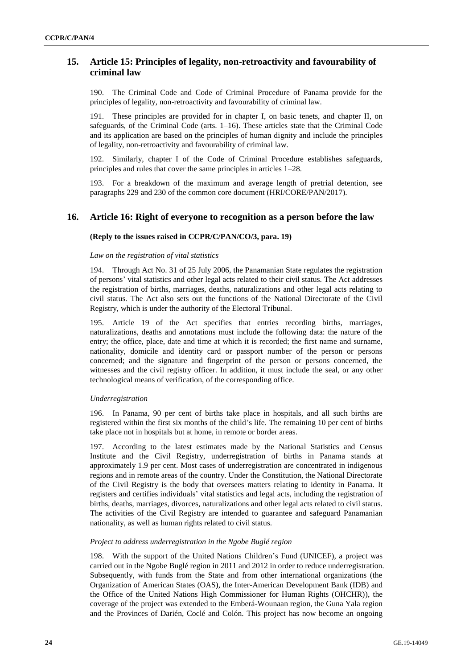## **15. Article 15: Principles of legality, non-retroactivity and favourability of criminal law**

190. The Criminal Code and Code of Criminal Procedure of Panama provide for the principles of legality, non-retroactivity and favourability of criminal law.

191. These principles are provided for in chapter I, on basic tenets, and chapter II, on safeguards, of the Criminal Code (arts. 1–16). These articles state that the Criminal Code and its application are based on the principles of human dignity and include the principles of legality, non-retroactivity and favourability of criminal law.

192. Similarly, chapter I of the Code of Criminal Procedure establishes safeguards, principles and rules that cover the same principles in articles 1–28.

193. For a breakdown of the maximum and average length of pretrial detention, see paragraphs 229 and 230 of the common core document (HRI/CORE/PAN/2017).

## **16. Article 16: Right of everyone to recognition as a person before the law**

#### **(Reply to the issues raised in CCPR/C/PAN/CO/3, para. 19)**

#### *Law on the registration of vital statistics*

194. Through Act No. 31 of 25 July 2006, the Panamanian State regulates the registration of persons' vital statistics and other legal acts related to their civil status. The Act addresses the registration of births, marriages, deaths, naturalizations and other legal acts relating to civil status. The Act also sets out the functions of the National Directorate of the Civil Registry, which is under the authority of the Electoral Tribunal.

195. Article 19 of the Act specifies that entries recording births, marriages, naturalizations, deaths and annotations must include the following data: the nature of the entry; the office, place, date and time at which it is recorded; the first name and surname, nationality, domicile and identity card or passport number of the person or persons concerned; and the signature and fingerprint of the person or persons concerned, the witnesses and the civil registry officer. In addition, it must include the seal, or any other technological means of verification, of the corresponding office.

#### *Underregistration*

196. In Panama, 90 per cent of births take place in hospitals, and all such births are registered within the first six months of the child's life. The remaining 10 per cent of births take place not in hospitals but at home, in remote or border areas.

197. According to the latest estimates made by the National Statistics and Census Institute and the Civil Registry, underregistration of births in Panama stands at approximately 1.9 per cent. Most cases of underregistration are concentrated in indigenous regions and in remote areas of the country. Under the Constitution, the National Directorate of the Civil Registry is the body that oversees matters relating to identity in Panama. It registers and certifies individuals' vital statistics and legal acts, including the registration of births, deaths, marriages, divorces, naturalizations and other legal acts related to civil status. The activities of the Civil Registry are intended to guarantee and safeguard Panamanian nationality, as well as human rights related to civil status.

#### *Project to address underregistration in the Ngobe Buglé region*

198. With the support of the United Nations Children's Fund (UNICEF), a project was carried out in the Ngobe Buglé region in 2011 and 2012 in order to reduce underregistration. Subsequently, with funds from the State and from other international organizations (the Organization of American States (OAS), the Inter-American Development Bank (IDB) and the Office of the United Nations High Commissioner for Human Rights (OHCHR)), the coverage of the project was extended to the Emberá-Wounaan region, the Guna Yala region and the Provinces of Darién, Coclé and Colón. This project has now become an ongoing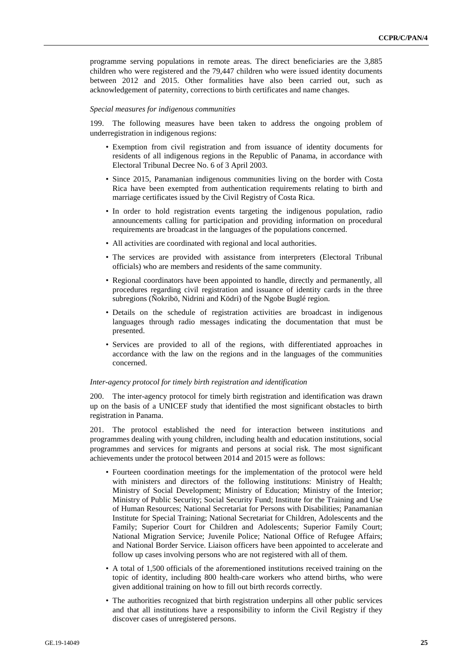programme serving populations in remote areas. The direct beneficiaries are the 3,885 children who were registered and the 79,447 children who were issued identity documents between 2012 and 2015. Other formalities have also been carried out, such as acknowledgement of paternity, corrections to birth certificates and name changes.

#### *Special measures for indigenous communities*

199. The following measures have been taken to address the ongoing problem of underregistration in indigenous regions:

- Exemption from civil registration and from issuance of identity documents for residents of all indigenous regions in the Republic of Panama, in accordance with Electoral Tribunal Decree No. 6 of 3 April 2003.
- Since 2015, Panamanian indigenous communities living on the border with Costa Rica have been exempted from authentication requirements relating to birth and marriage certificates issued by the Civil Registry of Costa Rica.
- In order to hold registration events targeting the indigenous population, radio announcements calling for participation and providing information on procedural requirements are broadcast in the languages of the populations concerned.
- All activities are coordinated with regional and local authorities.
- The services are provided with assistance from interpreters (Electoral Tribunal officials) who are members and residents of the same community.
- Regional coordinators have been appointed to handle, directly and permanently, all procedures regarding civil registration and issuance of identity cards in the three subregions (Ñokribö, Nidrini and Ködri) of the Ngobe Buglé region.
- Details on the schedule of registration activities are broadcast in indigenous languages through radio messages indicating the documentation that must be presented.
- Services are provided to all of the regions, with differentiated approaches in accordance with the law on the regions and in the languages of the communities concerned.

#### *Inter-agency protocol for timely birth registration and identification*

200. The inter-agency protocol for timely birth registration and identification was drawn up on the basis of a UNICEF study that identified the most significant obstacles to birth registration in Panama.

201. The protocol established the need for interaction between institutions and programmes dealing with young children, including health and education institutions, social programmes and services for migrants and persons at social risk. The most significant achievements under the protocol between 2014 and 2015 were as follows:

- Fourteen coordination meetings for the implementation of the protocol were held with ministers and directors of the following institutions: Ministry of Health; Ministry of Social Development; Ministry of Education; Ministry of the Interior; Ministry of Public Security; Social Security Fund; Institute for the Training and Use of Human Resources; National Secretariat for Persons with Disabilities; Panamanian Institute for Special Training; National Secretariat for Children, Adolescents and the Family; Superior Court for Children and Adolescents; Superior Family Court; National Migration Service; Juvenile Police; National Office of Refugee Affairs; and National Border Service. Liaison officers have been appointed to accelerate and follow up cases involving persons who are not registered with all of them.
- A total of 1,500 officials of the aforementioned institutions received training on the topic of identity, including 800 health-care workers who attend births, who were given additional training on how to fill out birth records correctly.
- The authorities recognized that birth registration underpins all other public services and that all institutions have a responsibility to inform the Civil Registry if they discover cases of unregistered persons.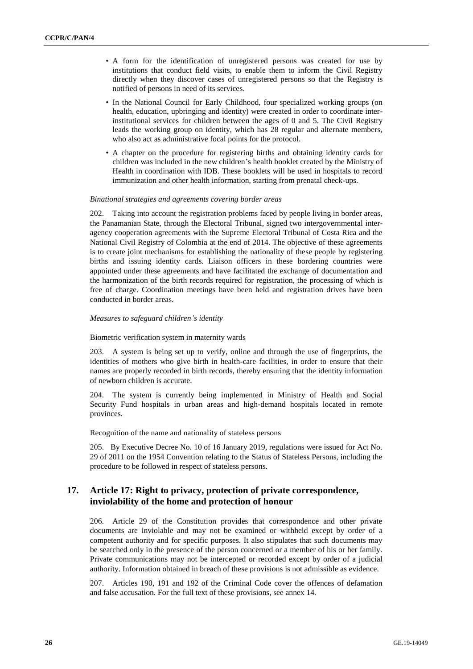- A form for the identification of unregistered persons was created for use by institutions that conduct field visits, to enable them to inform the Civil Registry directly when they discover cases of unregistered persons so that the Registry is notified of persons in need of its services.
- In the National Council for Early Childhood, four specialized working groups (on health, education, upbringing and identity) were created in order to coordinate interinstitutional services for children between the ages of 0 and 5. The Civil Registry leads the working group on identity, which has 28 regular and alternate members, who also act as administrative focal points for the protocol.
- A chapter on the procedure for registering births and obtaining identity cards for children was included in the new children's health booklet created by the Ministry of Health in coordination with IDB. These booklets will be used in hospitals to record immunization and other health information, starting from prenatal check-ups.

#### *Binational strategies and agreements covering border areas*

202. Taking into account the registration problems faced by people living in border areas, the Panamanian State, through the Electoral Tribunal, signed two intergovernmental interagency cooperation agreements with the Supreme Electoral Tribunal of Costa Rica and the National Civil Registry of Colombia at the end of 2014. The objective of these agreements is to create joint mechanisms for establishing the nationality of these people by registering births and issuing identity cards. Liaison officers in these bordering countries were appointed under these agreements and have facilitated the exchange of documentation and the harmonization of the birth records required for registration, the processing of which is free of charge. Coordination meetings have been held and registration drives have been conducted in border areas.

#### *Measures to safeguard children's identity*

Biometric verification system in maternity wards

203. A system is being set up to verify, online and through the use of fingerprints, the identities of mothers who give birth in health-care facilities, in order to ensure that their names are properly recorded in birth records, thereby ensuring that the identity information of newborn children is accurate.

204. The system is currently being implemented in Ministry of Health and Social Security Fund hospitals in urban areas and high-demand hospitals located in remote provinces.

Recognition of the name and nationality of stateless persons

205. By Executive Decree No. 10 of 16 January 2019, regulations were issued for Act No. 29 of 2011 on the 1954 Convention relating to the Status of Stateless Persons, including the procedure to be followed in respect of stateless persons.

## **17. Article 17: Right to privacy, protection of private correspondence, inviolability of the home and protection of honour**

206. Article 29 of the Constitution provides that correspondence and other private documents are inviolable and may not be examined or withheld except by order of a competent authority and for specific purposes. It also stipulates that such documents may be searched only in the presence of the person concerned or a member of his or her family. Private communications may not be intercepted or recorded except by order of a judicial authority. Information obtained in breach of these provisions is not admissible as evidence.

207. Articles 190, 191 and 192 of the Criminal Code cover the offences of defamation and false accusation. For the full text of these provisions, see annex 14.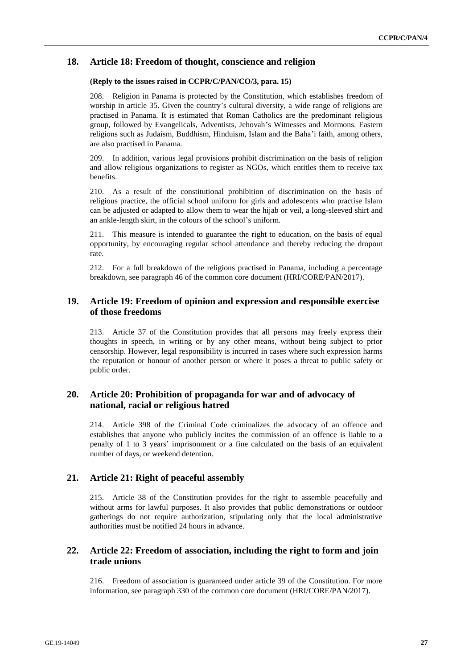## **18. Article 18: Freedom of thought, conscience and religion**

#### **(Reply to the issues raised in CCPR/C/PAN/CO/3, para. 15)**

208. Religion in Panama is protected by the Constitution, which establishes freedom of worship in article 35. Given the country's cultural diversity, a wide range of religions are practised in Panama. It is estimated that Roman Catholics are the predominant religious group, followed by Evangelicals, Adventists, Jehovah's Witnesses and Mormons. Eastern religions such as Judaism, Buddhism, Hinduism, Islam and the Baha'i faith, among others, are also practised in Panama.

209. In addition, various legal provisions prohibit discrimination on the basis of religion and allow religious organizations to register as NGOs, which entitles them to receive tax benefits.

210. As a result of the constitutional prohibition of discrimination on the basis of religious practice, the official school uniform for girls and adolescents who practise Islam can be adjusted or adapted to allow them to wear the hijab or veil, a long-sleeved shirt and an ankle-length skirt, in the colours of the school's uniform.

211. This measure is intended to guarantee the right to education, on the basis of equal opportunity, by encouraging regular school attendance and thereby reducing the dropout rate.

212. For a full breakdown of the religions practised in Panama, including a percentage breakdown, see paragraph 46 of the common core document (HRI/CORE/PAN/2017).

## **19. Article 19: Freedom of opinion and expression and responsible exercise of those freedoms**

213. Article 37 of the Constitution provides that all persons may freely express their thoughts in speech, in writing or by any other means, without being subject to prior censorship. However, legal responsibility is incurred in cases where such expression harms the reputation or honour of another person or where it poses a threat to public safety or public order.

## **20. Article 20: Prohibition of propaganda for war and of advocacy of national, racial or religious hatred**

214. Article 398 of the Criminal Code criminalizes the advocacy of an offence and establishes that anyone who publicly incites the commission of an offence is liable to a penalty of 1 to 3 years' imprisonment or a fine calculated on the basis of an equivalent number of days, or weekend detention.

## **21. Article 21: Right of peaceful assembly**

215. Article 38 of the Constitution provides for the right to assemble peacefully and without arms for lawful purposes. It also provides that public demonstrations or outdoor gatherings do not require authorization, stipulating only that the local administrative authorities must be notified 24 hours in advance.

## **22. Article 22: Freedom of association, including the right to form and join trade unions**

216. Freedom of association is guaranteed under article 39 of the Constitution. For more information, see paragraph 330 of the common core document (HRI/CORE/PAN/2017).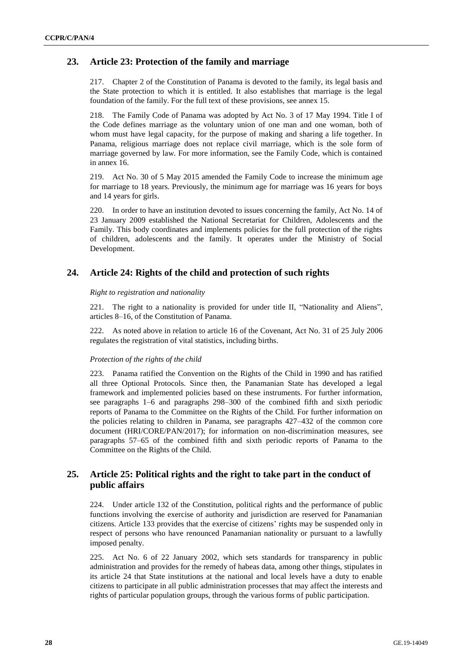## **23. Article 23: Protection of the family and marriage**

217. Chapter 2 of the Constitution of Panama is devoted to the family, its legal basis and the State protection to which it is entitled. It also establishes that marriage is the legal foundation of the family. For the full text of these provisions, see annex 15.

218. The Family Code of Panama was adopted by Act No. 3 of 17 May 1994. Title I of the Code defines marriage as the voluntary union of one man and one woman, both of whom must have legal capacity, for the purpose of making and sharing a life together. In Panama, religious marriage does not replace civil marriage, which is the sole form of marriage governed by law. For more information, see the Family Code, which is contained in annex 16.

219. Act No. 30 of 5 May 2015 amended the Family Code to increase the minimum age for marriage to 18 years. Previously, the minimum age for marriage was 16 years for boys and 14 years for girls.

220. In order to have an institution devoted to issues concerning the family, Act No. 14 of 23 January 2009 established the National Secretariat for Children, Adolescents and the Family. This body coordinates and implements policies for the full protection of the rights of children, adolescents and the family. It operates under the Ministry of Social Development.

## **24. Article 24: Rights of the child and protection of such rights**

#### *Right to registration and nationality*

221. The right to a nationality is provided for under title II, "Nationality and Aliens", articles 8–16, of the Constitution of Panama.

222. As noted above in relation to article 16 of the Covenant, Act No. 31 of 25 July 2006 regulates the registration of vital statistics, including births.

#### *Protection of the rights of the child*

223. Panama ratified the Convention on the Rights of the Child in 1990 and has ratified all three Optional Protocols. Since then, the Panamanian State has developed a legal framework and implemented policies based on these instruments. For further information, see paragraphs 1–6 and paragraphs 298–300 of the combined fifth and sixth periodic reports of Panama to the Committee on the Rights of the Child. For further information on the policies relating to children in Panama, see paragraphs 427–432 of the common core document (HRI/CORE/PAN/2017); for information on non-discrimination measures, see paragraphs 57–65 of the combined fifth and sixth periodic reports of Panama to the Committee on the Rights of the Child.

## **25. Article 25: Political rights and the right to take part in the conduct of public affairs**

224. Under article 132 of the Constitution, political rights and the performance of public functions involving the exercise of authority and jurisdiction are reserved for Panamanian citizens. Article 133 provides that the exercise of citizens' rights may be suspended only in respect of persons who have renounced Panamanian nationality or pursuant to a lawfully imposed penalty.

225. Act No. 6 of 22 January 2002, which sets standards for transparency in public administration and provides for the remedy of habeas data, among other things, stipulates in its article 24 that State institutions at the national and local levels have a duty to enable citizens to participate in all public administration processes that may affect the interests and rights of particular population groups, through the various forms of public participation.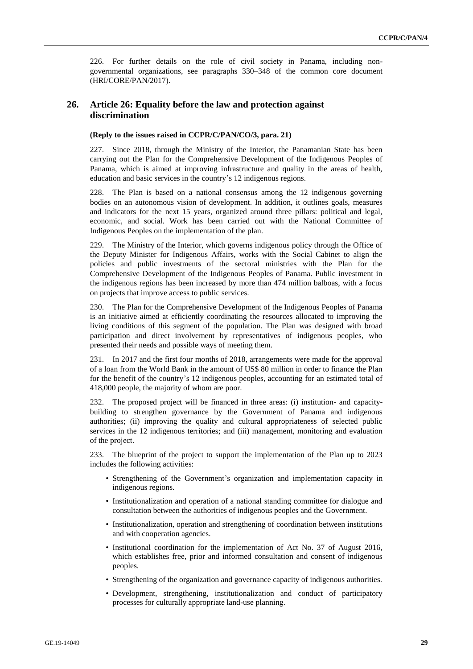226. For further details on the role of civil society in Panama, including nongovernmental organizations, see paragraphs 330–348 of the common core document (HRI/CORE/PAN/2017).

## **26. Article 26: Equality before the law and protection against discrimination**

#### **(Reply to the issues raised in CCPR/C/PAN/CO/3, para. 21)**

227. Since 2018, through the Ministry of the Interior, the Panamanian State has been carrying out the Plan for the Comprehensive Development of the Indigenous Peoples of Panama, which is aimed at improving infrastructure and quality in the areas of health, education and basic services in the country's 12 indigenous regions.

228. The Plan is based on a national consensus among the 12 indigenous governing bodies on an autonomous vision of development. In addition, it outlines goals, measures and indicators for the next 15 years, organized around three pillars: political and legal, economic, and social. Work has been carried out with the National Committee of Indigenous Peoples on the implementation of the plan.

229. The Ministry of the Interior, which governs indigenous policy through the Office of the Deputy Minister for Indigenous Affairs, works with the Social Cabinet to align the policies and public investments of the sectoral ministries with the Plan for the Comprehensive Development of the Indigenous Peoples of Panama. Public investment in the indigenous regions has been increased by more than 474 million balboas, with a focus on projects that improve access to public services.

230. The Plan for the Comprehensive Development of the Indigenous Peoples of Panama is an initiative aimed at efficiently coordinating the resources allocated to improving the living conditions of this segment of the population. The Plan was designed with broad participation and direct involvement by representatives of indigenous peoples, who presented their needs and possible ways of meeting them.

231. In 2017 and the first four months of 2018, arrangements were made for the approval of a loan from the World Bank in the amount of US\$ 80 million in order to finance the Plan for the benefit of the country's 12 indigenous peoples, accounting for an estimated total of 418,000 people, the majority of whom are poor.

232. The proposed project will be financed in three areas: (i) institution- and capacitybuilding to strengthen governance by the Government of Panama and indigenous authorities; (ii) improving the quality and cultural appropriateness of selected public services in the 12 indigenous territories; and (iii) management, monitoring and evaluation of the project.

233. The blueprint of the project to support the implementation of the Plan up to 2023 includes the following activities:

- Strengthening of the Government's organization and implementation capacity in indigenous regions.
- Institutionalization and operation of a national standing committee for dialogue and consultation between the authorities of indigenous peoples and the Government.
- Institutionalization, operation and strengthening of coordination between institutions and with cooperation agencies.
- Institutional coordination for the implementation of Act No. 37 of August 2016, which establishes free, prior and informed consultation and consent of indigenous peoples.
- Strengthening of the organization and governance capacity of indigenous authorities.
- Development, strengthening, institutionalization and conduct of participatory processes for culturally appropriate land-use planning.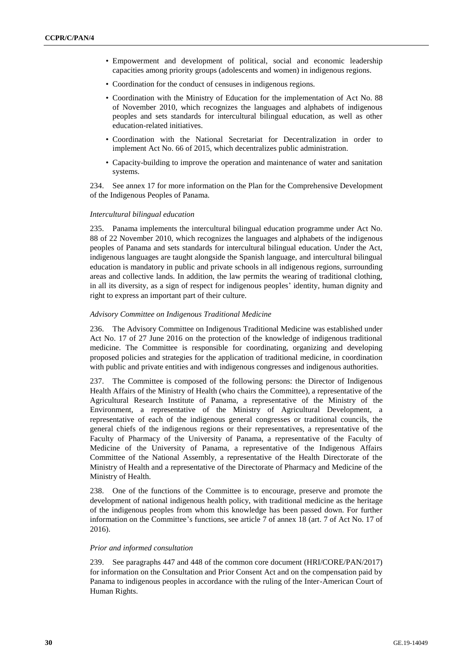- Empowerment and development of political, social and economic leadership capacities among priority groups (adolescents and women) in indigenous regions.
- Coordination for the conduct of censuses in indigenous regions.
- Coordination with the Ministry of Education for the implementation of Act No. 88 of November 2010, which recognizes the languages and alphabets of indigenous peoples and sets standards for intercultural bilingual education, as well as other education-related initiatives.
- Coordination with the National Secretariat for Decentralization in order to implement Act No. 66 of 2015, which decentralizes public administration.
- Capacity-building to improve the operation and maintenance of water and sanitation systems.

234. See annex 17 for more information on the Plan for the Comprehensive Development of the Indigenous Peoples of Panama.

#### *Intercultural bilingual education*

235. Panama implements the intercultural bilingual education programme under Act No. 88 of 22 November 2010, which recognizes the languages and alphabets of the indigenous peoples of Panama and sets standards for intercultural bilingual education. Under the Act, indigenous languages are taught alongside the Spanish language, and intercultural bilingual education is mandatory in public and private schools in all indigenous regions, surrounding areas and collective lands. In addition, the law permits the wearing of traditional clothing, in all its diversity, as a sign of respect for indigenous peoples' identity, human dignity and right to express an important part of their culture.

#### *Advisory Committee on Indigenous Traditional Medicine*

236. The Advisory Committee on Indigenous Traditional Medicine was established under Act No. 17 of 27 June 2016 on the protection of the knowledge of indigenous traditional medicine. The Committee is responsible for coordinating, organizing and developing proposed policies and strategies for the application of traditional medicine, in coordination with public and private entities and with indigenous congresses and indigenous authorities.

237. The Committee is composed of the following persons: the Director of Indigenous Health Affairs of the Ministry of Health (who chairs the Committee), a representative of the Agricultural Research Institute of Panama, a representative of the Ministry of the Environment, a representative of the Ministry of Agricultural Development, a representative of each of the indigenous general congresses or traditional councils, the general chiefs of the indigenous regions or their representatives, a representative of the Faculty of Pharmacy of the University of Panama, a representative of the Faculty of Medicine of the University of Panama, a representative of the Indigenous Affairs Committee of the National Assembly, a representative of the Health Directorate of the Ministry of Health and a representative of the Directorate of Pharmacy and Medicine of the Ministry of Health.

238. One of the functions of the Committee is to encourage, preserve and promote the development of national indigenous health policy, with traditional medicine as the heritage of the indigenous peoples from whom this knowledge has been passed down. For further information on the Committee's functions, see article 7 of annex 18 (art. 7 of Act No. 17 of 2016).

#### *Prior and informed consultation*

239. See paragraphs 447 and 448 of the common core document (HRI/CORE/PAN/2017) for information on the Consultation and Prior Consent Act and on the compensation paid by Panama to indigenous peoples in accordance with the ruling of the Inter-American Court of Human Rights.